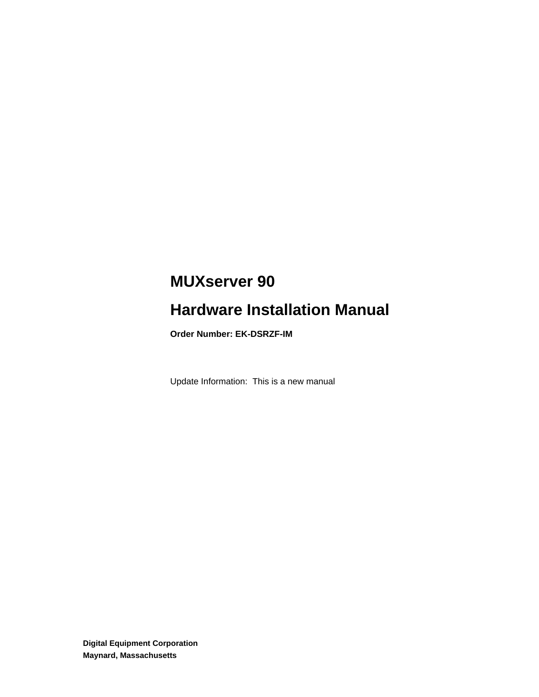# **MUXserver 90**

# **Hardware Installation Manual**

**Order Number: EK-DSRZF-IM**

Update Information: This is a new manual

**Digital Equipment Corporation Maynard, Massachusetts**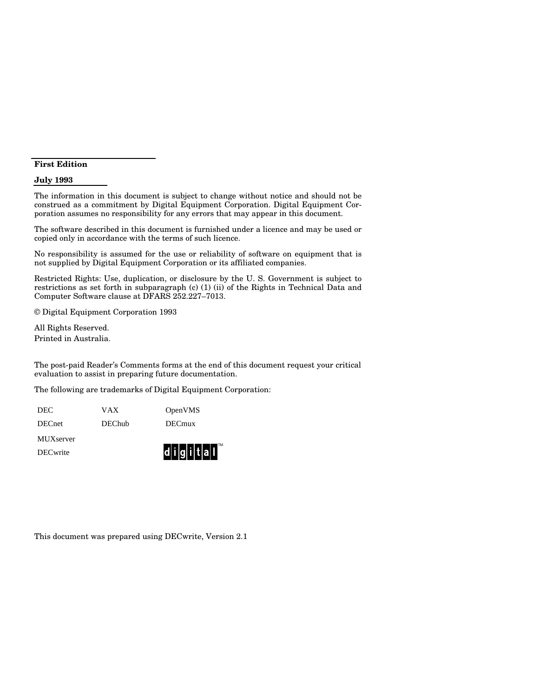#### **First Edition**

#### **July 1993**

The information in this document is subject to change without notice and should not be construed as a commitment by Digital Equipment Corporation. Digital Equipment Corporation assumes no responsibility for any errors that may appear in this document.

The software described in this document is furnished under a licence and may be used or copied only in accordance with the terms of such licence.

No responsibility is assumed for the use or reliability of software on equipment that is not supplied by Digital Equipment Corporation or its affiliated companies.

Restricted Rights: Use, duplication, or disclosure by the U. S. Government is subject to restrictions as set forth in subparagraph (c) (1) (ii) of the Rights in Technical Data and Computer Software clause at DFARS 252.227–7013.

© Digital Equipment Corporation 1993

All Rights Reserved. Printed in Australia.

The post-paid Reader's Comments forms at the end of this document request your critical evaluation to assist in preparing future documentation.

TM

The following are trademarks of Digital Equipment Corporation:

| DECwrite      |               | $\mathbf{d}$ i $\mathbf{g}$ i $\mathbf{t}$ all |  |  |
|---------------|---------------|------------------------------------------------|--|--|
| MUXserver     |               |                                                |  |  |
| <b>DECnet</b> | <b>DEChub</b> | <b>DECmux</b>                                  |  |  |
| <b>DEC</b>    | VAX           | OpenVMS                                        |  |  |

This document was prepared using DECwrite, Version 2.1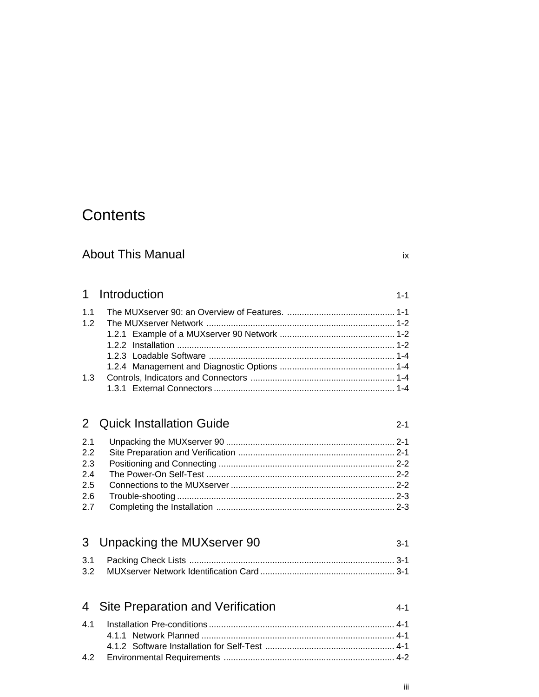# **Contents**

# About This Manual in the state of the state of the state of the state of the state of the state of the state of the state of the state of the state of the state of the state of the state of the state of the state of the st

# 1 Introduction 1-1

| 1.3 |  |
|-----|--|
|     |  |

### 2 Quick Installation Guide 2-1

| $2.2^{\circ}$ |  |
|---------------|--|
| 2.3           |  |
|               |  |
|               |  |
|               |  |
|               |  |

# 3 Unpacking the MUXserver 90 3-1

| 4 Site Preparation and Verification | 4-1 |
|-------------------------------------|-----|
|                                     |     |
|                                     |     |
|                                     |     |
|                                     |     |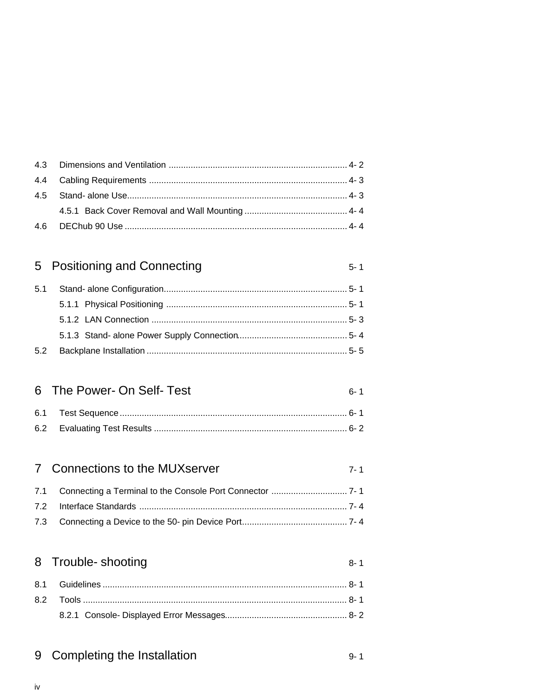# 5 Positioning and Connecting

# 6 The Power- On Self- Test

# 7 Connections to the MUXserver

# 8 Trouble- shooting

# 9 Completing the Installation

 $8 - 1$ 

 $5 - 1$ 

 $6 - 1$ 

 $7 - 1$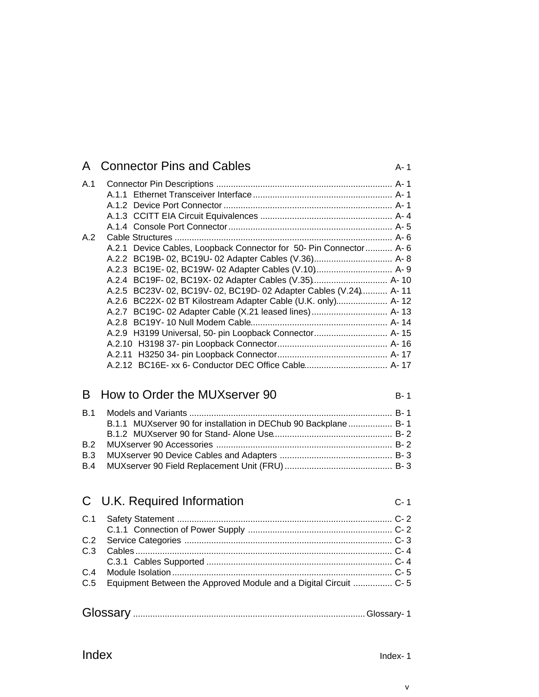|     | A Connector Pins and Cables                                         | $A - 1$ |
|-----|---------------------------------------------------------------------|---------|
| A.1 |                                                                     |         |
|     |                                                                     |         |
|     |                                                                     |         |
|     |                                                                     |         |
|     |                                                                     |         |
| A.2 |                                                                     |         |
|     | A.2.1 Device Cables, Loopback Connector for 50- Pin Connector  A- 6 |         |
|     |                                                                     |         |
|     |                                                                     |         |
|     |                                                                     |         |
|     | A.2.5 BC23V-02, BC19V-02, BC19D-02 Adapter Cables (V.24) A-11       |         |
|     | A.2.6 BC22X- 02 BT Kilostream Adapter Cable (U.K. only) A-12        |         |
|     | A.2.7 BC19C- 02 Adapter Cable (X.21 leased lines) A-13              |         |
|     |                                                                     |         |
|     |                                                                     |         |
|     |                                                                     |         |
|     |                                                                     |         |
|     |                                                                     |         |
|     |                                                                     |         |

### B How to Order the MUXserver 90 B-1

| B.1.1 MUXserver 90 for installation in DEChub 90 Backplane B-1 |  |
|----------------------------------------------------------------|--|
|                                                                |  |
|                                                                |  |
|                                                                |  |
|                                                                |  |

### C U.K. Required Information C-1 C.1 Safety Statement ........................................................................................ C-2 C.1.1 Connection of Power Supply ........................................................... C-2 C.2 Service Categories ..................................................................................... C-3 C.3 Cables ......................................................................................................... C-4 C.3.1 Cables Supported ............................................................................ C-4 C.4 Module Isolation .......................................................................................... C-5 C.5 Equipment Between the Approved Module and a Digital Circuit ................ C-5

| Glossary |  |  |
|----------|--|--|
|----------|--|--|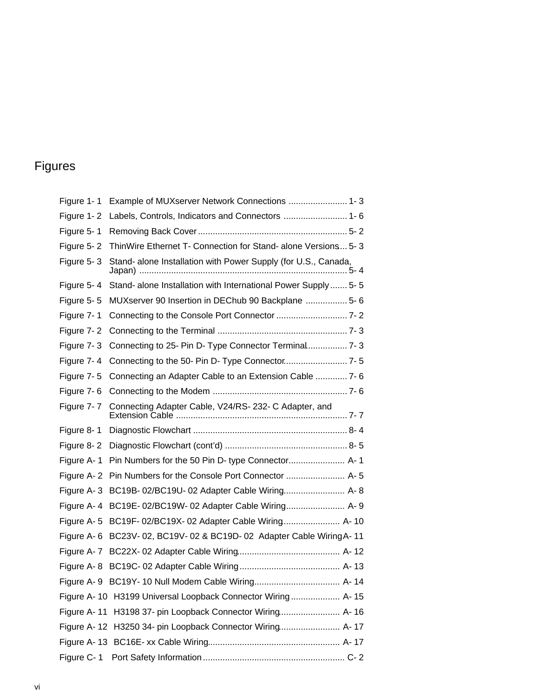# Figures

| Figure 1-1  | Example of MUXserver Network Connections  1- 3                     |
|-------------|--------------------------------------------------------------------|
| Figure 1-2  | Labels, Controls, Indicators and Connectors  1- 6                  |
| Figure 5-1  |                                                                    |
| Figure 5-2  | ThinWire Ethernet T- Connection for Stand- alone Versions 5-3      |
| Figure 5-3  | Stand- alone Installation with Power Supply (for U.S., Canada,     |
| Figure 5-4  | Stand- alone Installation with International Power Supply  5- 5    |
| Figure 5-5  | MUXserver 90 Insertion in DEChub 90 Backplane  5- 6                |
| Figure 7-1  |                                                                    |
| Figure 7-2  |                                                                    |
| Figure 7-3  | Connecting to 25- Pin D- Type Connector Terminal 7- 3              |
| Figure 7-4  |                                                                    |
| Figure 7-5  | Connecting an Adapter Cable to an Extension Cable  7- 6            |
|             |                                                                    |
| Figure 7-7  | Connecting Adapter Cable, V24/RS-232-C Adapter, and                |
| Figure 8-1  |                                                                    |
| Figure 8-2  |                                                                    |
|             | Figure A-1 Pin Numbers for the 50 Pin D- type Connector A-1        |
|             | Figure A-2 Pin Numbers for the Console Port Connector  A-5         |
| Figure A-3  | BC19B- 02/BC19U- 02 Adapter Cable Wiring A- 8                      |
|             | Figure A- 4 BC19E-02/BC19W-02 Adapter Cable Wiring A-9             |
|             | Figure A-5 BC19F-02/BC19X-02 Adapter Cable Wiring A-10             |
|             | Figure A-6 BC23V-02, BC19V-02 & BC19D-02 Adapter Cable Wiring A-11 |
|             |                                                                    |
|             |                                                                    |
|             |                                                                    |
|             | Figure A- 10 H3199 Universal Loopback Connector Wiring A- 15       |
| Figure A-11 | H3198 37- pin Loopback Connector Wiring A- 16                      |
|             | Figure A-12 H3250 34- pin Loopback Connector Wiring A-17           |
|             |                                                                    |
| Figure C-1  |                                                                    |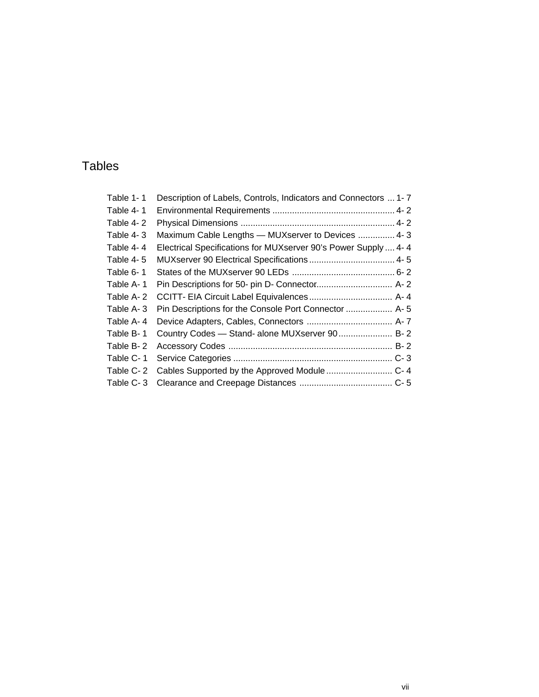# Tables

| Table 1-1 | Description of Labels, Controls, Indicators and Connectors  1-7 |  |
|-----------|-----------------------------------------------------------------|--|
| Table 4-1 |                                                                 |  |
| Table 4-2 |                                                                 |  |
| Table 4-3 | Maximum Cable Lengths - MUXserver to Devices  4-3               |  |
| Table 4-4 | Electrical Specifications for MUXserver 90's Power Supply  4- 4 |  |
| Table 4-5 |                                                                 |  |
| Table 6-1 |                                                                 |  |
| Table A-1 |                                                                 |  |
| Table A-2 |                                                                 |  |
| Table A-3 | Pin Descriptions for the Console Port Connector  A- 5           |  |
| Table A-4 |                                                                 |  |
| Table B-1 | Country Codes - Stand- alone MUXserver 90 B- 2                  |  |
| Table B-2 |                                                                 |  |
| Table C-1 |                                                                 |  |
| Table C-2 |                                                                 |  |
| Table C-3 |                                                                 |  |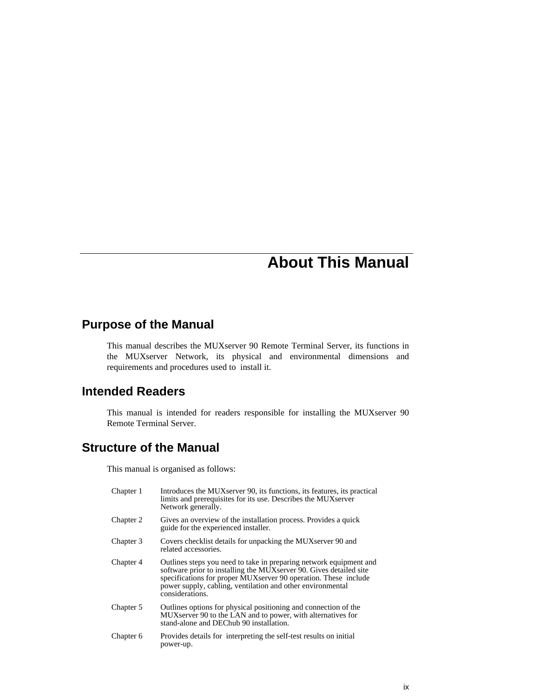# **About This Manual**

### **Purpose of the Manual**

This manual describes the MUXserver 90 Remote Terminal Server, its functions in the MUXserver Network, its physical and environmental dimensions and requirements and procedures used to install it.

#### **Intended Readers**

This manual is intended for readers responsible for installing the MUXserver 90 Remote Terminal Server.

### **Structure of the Manual**

This manual is organised as follows:

| Chapter 1 | Introduces the MUX server 90, its functions, its features, its practical<br>limits and prerequisites for its use. Describes the MUX server<br>Network generally.                                                                                                                               |
|-----------|------------------------------------------------------------------------------------------------------------------------------------------------------------------------------------------------------------------------------------------------------------------------------------------------|
| Chapter 2 | Gives an overview of the installation process. Provides a quick<br>guide for the experienced installer.                                                                                                                                                                                        |
| Chapter 3 | Covers checklist details for unpacking the MUXserver 90 and<br>related accessories.                                                                                                                                                                                                            |
| Chapter 4 | Outlines steps you need to take in preparing network equipment and<br>software prior to installing the MUX server 90. Gives detailed site<br>specifications for proper MUX server 90 operation. These include<br>power supply, cabling, ventilation and other environmental<br>considerations. |
| Chapter 5 | Outlines options for physical positioning and connection of the<br>MUX server 90 to the LAN and to power, with alternatives for<br>stand-alone and DEChub 90 installation.                                                                                                                     |
| Chapter 6 | Provides details for interpreting the self-test results on initial<br>power-up.                                                                                                                                                                                                                |
|           |                                                                                                                                                                                                                                                                                                |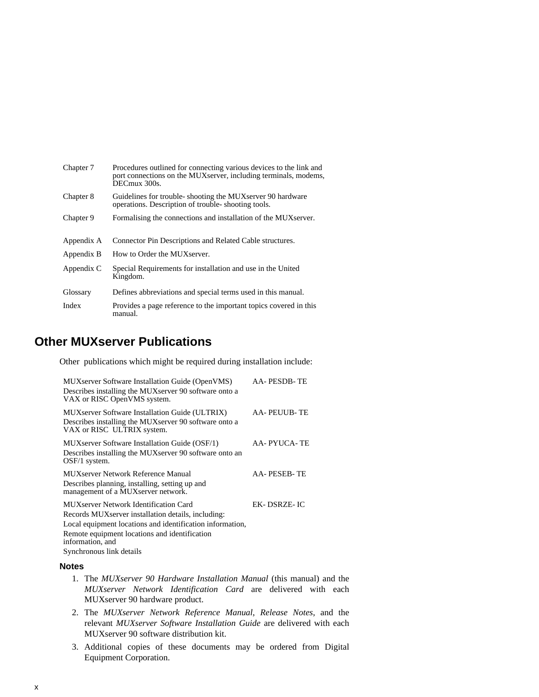| Chapter 7  | Procedures outlined for connecting various devices to the link and<br>port connections on the MUX server, including terminals, modems,<br>DECmux 300s. |
|------------|--------------------------------------------------------------------------------------------------------------------------------------------------------|
| Chapter 8  | Guidelines for trouble-shooting the MUX server 90 hardware<br>operations. Description of trouble-shooting tools.                                       |
| Chapter 9  | Formalising the connections and installation of the MUX server.                                                                                        |
|            |                                                                                                                                                        |
| Appendix A | Connector Pin Descriptions and Related Cable structures.                                                                                               |
| Appendix B | How to Order the MUX server.                                                                                                                           |
| Appendix C | Special Requirements for installation and use in the United<br>Kingdom.                                                                                |
| Glossary   | Defines abbreviations and special terms used in this manual.                                                                                           |
| Index      | Provides a page reference to the important topics covered in this<br>manual.                                                                           |

### **Other MUXserver Publications**

Other publications which might be required during installation include:

| MUXserver Software Installation Guide (OpenVMS)<br>Describes installing the MUX server 90 software onto a<br>VAX or RISC OpenVMS system.       | AA-PESDB-TE          |
|------------------------------------------------------------------------------------------------------------------------------------------------|----------------------|
| <b>MUX</b> server Software Installation Guide (ULTRIX)<br>Describes installing the MUX server 90 software onto a<br>VAX or RISC ULTRIX system. | <b>AA- PEUUB- TE</b> |
| MUX server Software Installation Guide (OSF/1)<br>Describes installing the MUX server 90 software onto an<br>$OSF/1$ system.                   | AA- PYUCA- TE        |
| <b>MUXserver Network Reference Manual</b><br>Describes planning, installing, setting up and<br>management of a MUX server network.             | AA-PESEB-TE          |
| MUX server Network Identification Card                                                                                                         | EK- DSRZE- IC        |
| Records MUX server installation details, including:                                                                                            |                      |
| Local equipment locations and identification information,                                                                                      |                      |
| Remote equipment locations and identification<br>information, and                                                                              |                      |
| Synchronous link details                                                                                                                       |                      |

#### **Notes**

- 1. The *MUXserver 90 Hardware Installation Manual* (this manual) and the *MUXserver Network Identification Card* are delivered with each MUXserver 90 hardware product.
- 2. The *MUXserver Network Reference Manual*, *Release Notes*, and the relevant *MUXserver Software Installation Guide* are delivered with each MUXserver 90 software distribution kit.
- 3. Additional copies of these documents may be ordered from Digital Equipment Corporation.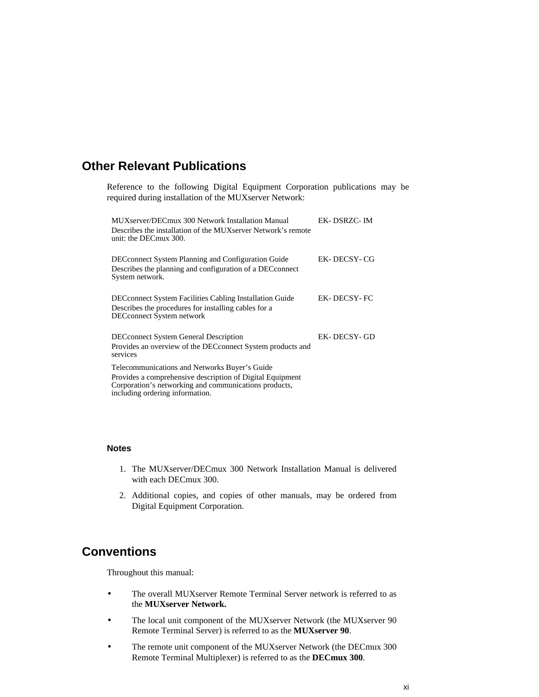### **Other Relevant Publications**

Reference to the following Digital Equipment Corporation publications may be required during installation of the MUXserver Network:

| MUXserver/DECmux 300 Network Installation Manual<br>Describes the installation of the MUX server Network's remote<br>unit: the DECmux 300.                                                             | EK-DSRZC-IM |
|--------------------------------------------------------------------------------------------------------------------------------------------------------------------------------------------------------|-------------|
| <b>DEC</b> connect System Planning and Configuration Guide<br>Describes the planning and configuration of a DECconnect<br>System network.                                                              | EK-DECSY-CG |
| <b>DEC</b> connect System Facilities Cabling Installation Guide<br>Describes the procedures for installing cables for a<br><b>DECconnect System network</b>                                            | EK-DECSY-FC |
| <b>DECconnect System General Description</b><br>Provides an overview of the DEC connect System products and<br>services                                                                                | EK-DECSY-GD |
| Telecommunications and Networks Buyer's Guide<br>Provides a comprehensive description of Digital Equipment<br>Corporation's networking and communications products,<br>including ordering information. |             |

#### **Notes**

- 1. The MUXserver/DECmux 300 Network Installation Manual is delivered with each DECmux 300.
- 2. Additional copies, and copies of other manuals, may be ordered from Digital Equipment Corporation.

#### **Conventions**

Throughout this manual:

- The overall MUXserver Remote Terminal Server network is referred to as the **MUXserver Network.**
- The local unit component of the MUXserver Network (the MUXserver 90 Remote Terminal Server) is referred to as the **MUXserver 90**.
- The remote unit component of the MUXserver Network (the DECmux 300 Remote Terminal Multiplexer) is referred to as the **DECmux 300**.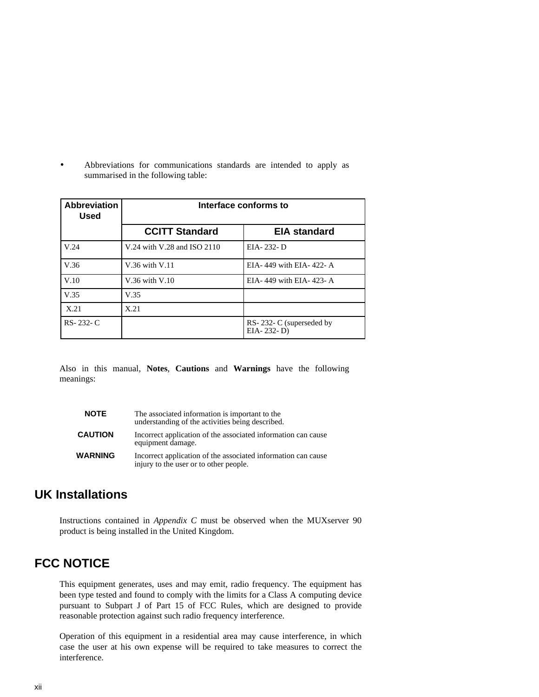• Abbreviations for communications standards are intended to apply as summarised in the following table:

| <b>Abbreviation</b><br><b>Used</b> | Interface conforms to       |                                       |
|------------------------------------|-----------------------------|---------------------------------------|
|                                    | <b>CCITT Standard</b>       | <b>EIA standard</b>                   |
| V.24                               | V.24 with V.28 and ISO 2110 | EIA-232-D                             |
| V.36                               | V.36 with V.11              | EIA-449 with EIA-422-A                |
| V.10                               | $V.36$ with $V.10$          | EIA-449 with EIA-423-A                |
| V.35                               | V.35                        |                                       |
| X.21                               | X.21                        |                                       |
| RS-232-C                           |                             | RS-232-C (superseded by<br>EIA-232-D) |

Also in this manual, **Notes**, **Cautions** and **Warnings** have the following meanings:

| <b>NOTE</b>    | The associated information is important to the<br>understanding of the activities being described.      |
|----------------|---------------------------------------------------------------------------------------------------------|
| <b>CAUTION</b> | Incorrect application of the associated information can cause<br>equipment damage.                      |
| WARNING        | Incorrect application of the associated information can cause<br>injury to the user or to other people. |

### **UK Installations**

Instructions contained in *Appendix C* must be observed when the MUXserver 90 product is being installed in the United Kingdom.

# **FCC NOTICE**

This equipment generates, uses and may emit, radio frequency. The equipment has been type tested and found to comply with the limits for a Class A computing device pursuant to Subpart J of Part 15 of FCC Rules, which are designed to provide reasonable protection against such radio frequency interference.

Operation of this equipment in a residential area may cause interference, in which case the user at his own expense will be required to take measures to correct the interference.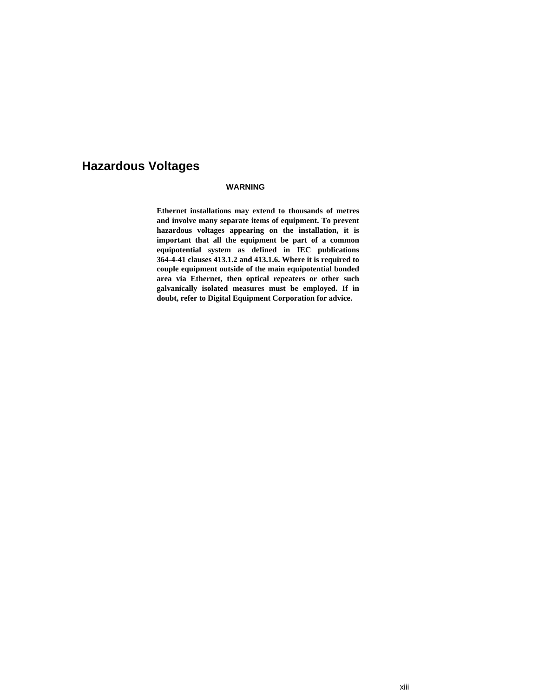### **Hazardous Voltages**

#### **WARNING**

**Ethernet installations may extend to thousands of metres and involve many separate items of equipment. To prevent hazardous voltages appearing on the installation, it is important that all the equipment be part of a common equipotential system as defined in IEC publications 364-4-41 clauses 413.1.2 and 413.1.6. Where it is required to couple equipment outside of the main equipotential bonded area via Ethernet, then optical repeaters or other such galvanically isolated measures must be employed. If in doubt, refer to Digital Equipment Corporation for advice.**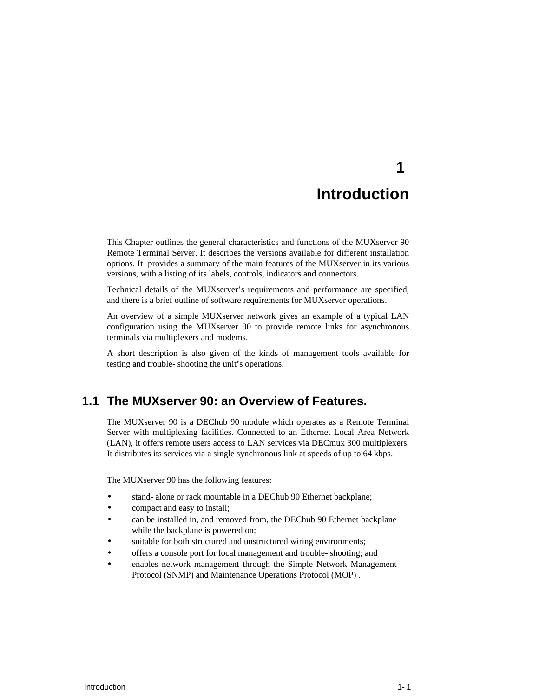# **Introduction**

**1** 

This Chapter outlines the general characteristics and functions of the MUXserver 90 Remote Terminal Server. It describes the versions available for different installation options. It provides a summary of the main features of the MUXserver in its various versions, with a listing of its labels, controls, indicators and connectors.

Technical details of the MUXserver's requirements and performance are specified, and there is a brief outline of software requirements for MUXserver operations.

An overview of a simple MUXserver network gives an example of a typical LAN configuration using the MUXserver 90 to provide remote links for asynchronous terminals via multiplexers and modems.

A short description is also given of the kinds of management tools available for testing and trouble-shooting the unit's operations.

#### **1.1 The MUXserver 90: an Overview of Features.**

The MUXserver 90 is a DEChub 90 module which operates as a Remote Terminal Server with multiplexing facilities. Connected to an Ethernet Local Area Network (LAN), it offers remote users access to LAN services via DECmux 300 multiplexers. It distributes its services via a single synchronous link at speeds of up to 64 kbps.

The MUXserver 90 has the following features:

- stand-alone or rack mountable in a DEChub 90 Ethernet backplane;
- compact and easy to install;
- can be installed in, and removed from, the DEChub 90 Ethernet backplane while the backplane is powered on;
- suitable for both structured and unstructured wiring environments;
- offers a console port for local management and trouble-shooting; and
- enables network management through the Simple Network Management Protocol (SNMP) and Maintenance Operations Protocol (MOP) .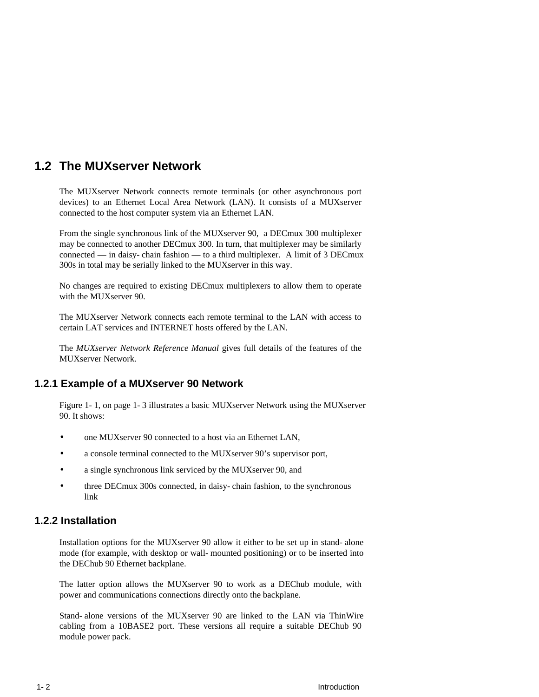### **1.2 The MUXserver Network**

The MUXserver Network connects remote terminals (or other asynchronous port devices) to an Ethernet Local Area Network (LAN). It consists of a MUXserver connected to the host computer system via an Ethernet LAN.

From the single synchronous link of the MUXserver 90, a DECmux 300 multiplexer may be connected to another DECmux 300. In turn, that multiplexer may be similarly connected — in daisy-chain fashion — to a third multiplexer. A limit of 3 DECmux 300s in total may be serially linked to the MUXserver in this way.

No changes are required to existing DECmux multiplexers to allow them to operate with the MUXserver 90.

The MUXserver Network connects each remote terminal to the LAN with access to certain LAT services and INTERNET hosts offered by the LAN.

The *MUXserver Network Reference Manual* gives full details of the features of the MUXserver Network.

#### **1.2.1 Example of a MUXserver 90 Network**

Figure 1-1, on page 1-3 illustrates a basic MUXserver Network using the MUXserver 90. It shows:

- one MUXserver 90 connected to a host via an Ethernet LAN,
- a console terminal connected to the MUXserver 90's supervisor port,
- a single synchronous link serviced by the MUXserver 90, and
- three DECmux 300s connected, in daisy-chain fashion, to the synchronous link

#### **1.2.2 Installation**

Installation options for the MUXserver 90 allow it either to be set up in stand-alone mode (for example, with desktop or wall-mounted positioning) or to be inserted into the DEChub 90 Ethernet backplane.

The latter option allows the MUXserver 90 to work as a DEChub module, with power and communications connections directly onto the backplane.

Stand-alone versions of the MUXserver 90 are linked to the LAN via ThinWire cabling from a 10BASE2 port. These versions all require a suitable DEChub 90 module power pack.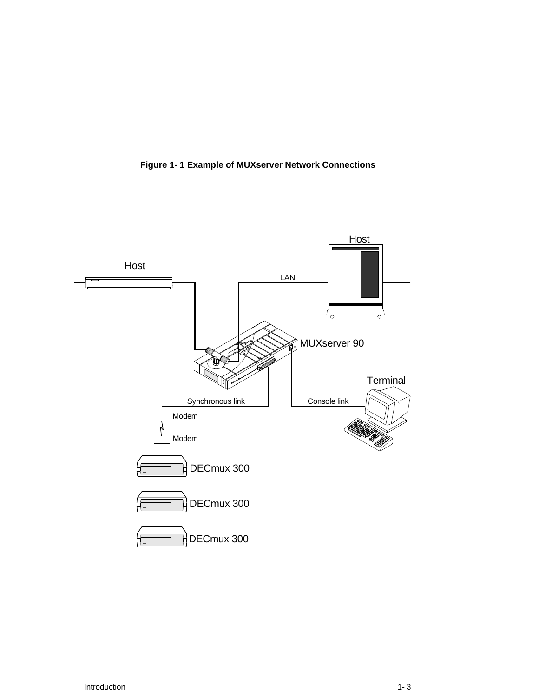

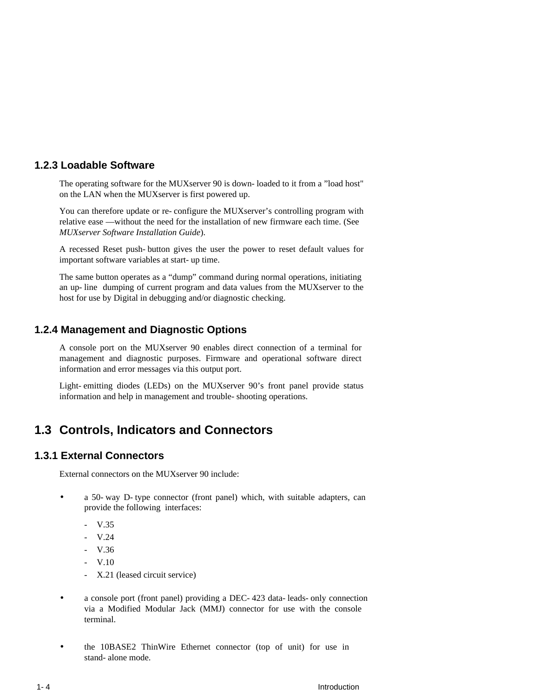#### **1.2.3 Loadable Software**

The operating software for the MUXserver 90 is down-loaded to it from a "load host" on the LAN when the MUXserver is first powered up.

You can therefore update or re-configure the MUXserver's controlling program with relative ease — without the need for the installation of new firmware each time. (See *MUXserver Software Installation Guide*).

A recessed Reset push-button gives the user the power to reset default values for important software variables at start-up time.

The same button operates as a "dump" command during normal operations, initiating an up-line dumping of current program and data values from the MUXserver to the host for use by Digital in debugging and/or diagnostic checking.

#### **1.2.4 Management and Diagnostic Options**

A console port on the MUXserver 90 enables direct connection of a terminal for management and diagnostic purposes. Firmware and operational software direct information and error messages via this output port.

Light-emitting diodes (LEDs) on the MUXserver 90's front panel provide status information and help in management and trouble-shooting operations.

### **1.3 Controls, Indicators and Connectors**

#### **1.3.1 External Connectors**

External connectors on the MUXserver 90 include:

- a 50-way D-type connector (front panel) which, with suitable adapters, can provide the following interfaces:
	- V.35
	- V.24
	- V.36
	- V.10
	- X.21 (leased circuit service)
- a console port (front panel) providing a DEC-423 data-leads-only connection via a Modified Modular Jack (MMJ) connector for use with the console terminal.
- the 10BASE2 ThinWire Ethernet connector (top of unit) for use in stand-alone mode.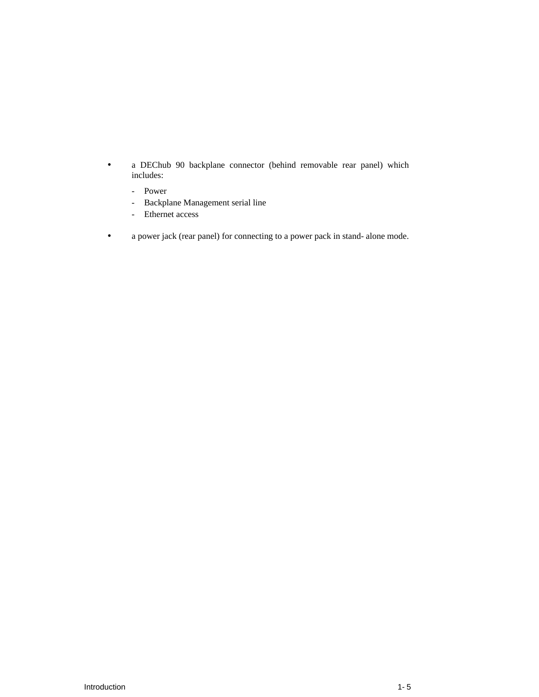- a DEChub 90 backplane connector (behind removable rear panel) which includes:
	- Power
	- Backplane Management serial line
	- Ethernet access
- a power jack (rear panel) for connecting to a power pack in stand-alone mode.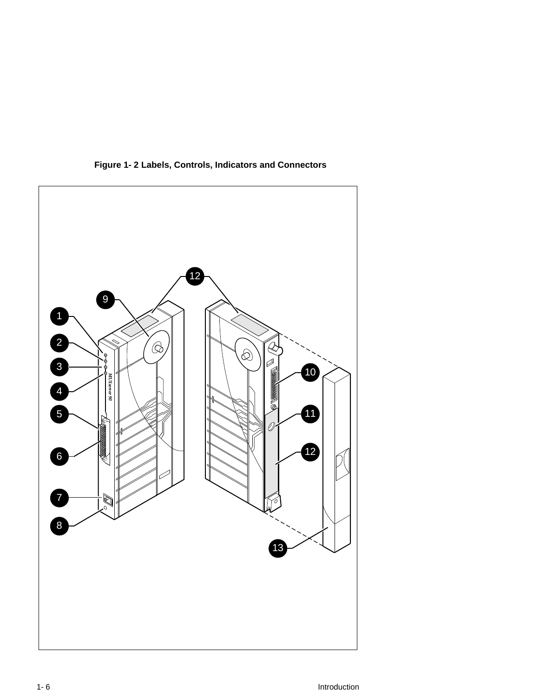

**Figure 1-2 Labels, Controls, Indicators and Connectors**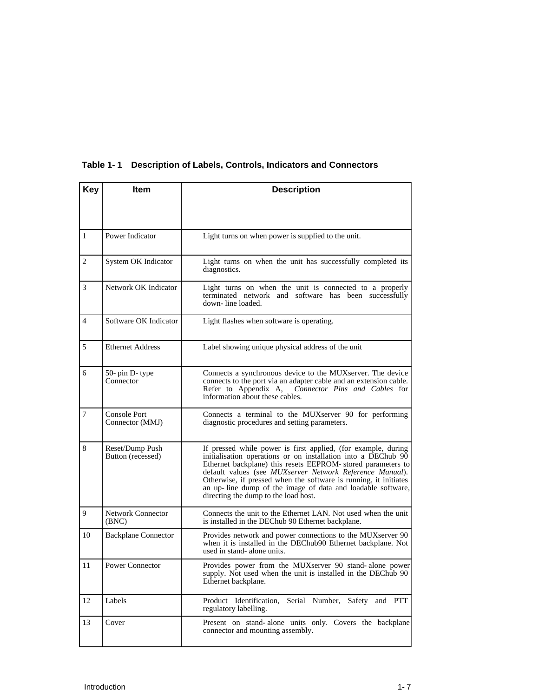| <b>Key</b>     | <b>Item</b>                            | <b>Description</b>                                                                                                                                                                                                                                                                                                                                                                                                                    |
|----------------|----------------------------------------|---------------------------------------------------------------------------------------------------------------------------------------------------------------------------------------------------------------------------------------------------------------------------------------------------------------------------------------------------------------------------------------------------------------------------------------|
| 1              | Power Indicator                        | Light turns on when power is supplied to the unit.                                                                                                                                                                                                                                                                                                                                                                                    |
| 2              | System OK Indicator                    | Light turns on when the unit has successfully completed its<br>diagnostics.                                                                                                                                                                                                                                                                                                                                                           |
| 3              | Network OK Indicator                   | Light turns on when the unit is connected to a properly<br>terminated network and software has been successfully<br>down-line loaded.                                                                                                                                                                                                                                                                                                 |
| $\overline{4}$ | Software OK Indicator                  | Light flashes when software is operating.                                                                                                                                                                                                                                                                                                                                                                                             |
| 5              | <b>Ethernet Address</b>                | Label showing unique physical address of the unit                                                                                                                                                                                                                                                                                                                                                                                     |
| 6              | 50- pin D- type<br>Connector           | Connects a synchronous device to the MUX server. The device<br>connects to the port via an adapter cable and an extension cable.<br>Refer to Appendix A,<br>Connector Pins and Cables for<br>information about these cables.                                                                                                                                                                                                          |
| $\tau$         | <b>Console Port</b><br>Connector (MMJ) | Connects a terminal to the MUXserver 90 for performing<br>diagnostic procedures and setting parameters.                                                                                                                                                                                                                                                                                                                               |
| 8              | Reset/Dump Push<br>Button (recessed)   | If pressed while power is first applied, (for example, during<br>initialisation operations or on installation into a DEChub 90<br>Ethernet backplane) this resets EEPROM- stored parameters to<br>default values (see MUXserver Network Reference Manual).<br>Otherwise, if pressed when the software is running, it initiates<br>an up-line dump of the image of data and loadable software,<br>directing the dump to the load host. |
| 9              | <b>Network Connector</b><br>(BNC)      | Connects the unit to the Ethernet LAN. Not used when the unit<br>is installed in the DEChub 90 Ethernet backplane.                                                                                                                                                                                                                                                                                                                    |
| 10             | <b>Backplane Connector</b>             | Provides network and power connections to the MUX server 90<br>when it is installed in the DEChub90 Ethernet backplane. Not<br>used in stand- alone units.                                                                                                                                                                                                                                                                            |
| 11             | Power Connector                        | Provides power from the MUXserver 90 stand-alone power<br>supply. Not used when the unit is installed in the DEChub 90<br>Ethernet backplane.                                                                                                                                                                                                                                                                                         |
| 12             | Labels                                 | Product Identification.<br>Serial Number,<br>Safety and PTT<br>regulatory labelling.                                                                                                                                                                                                                                                                                                                                                  |
| 13             | Cover                                  | Present on stand-alone units only. Covers the backplane<br>connector and mounting assembly.                                                                                                                                                                                                                                                                                                                                           |

#### **Table 1-1 Description of Labels, Controls, Indicators and Connectors**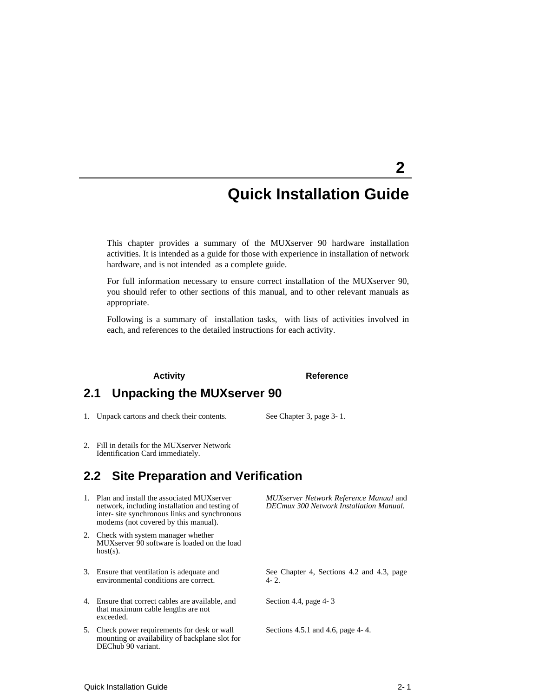# **Quick Installation Guide**

**2** 

This chapter provides a summary of the MUXserver 90 hardware installation activities. It is intended as a guide for those with experience in installation of network hardware, and is not intended as a complete guide.

For full information necessary to ensure correct installation of the MUXserver 90, you should refer to other sections of this manual, and to other relevant manuals as appropriate.

Following is a summary of installation tasks, with lists of activities involved in each, and references to the detailed instructions for each activity.

#### **Activity Reference**

### **2.1 Unpacking the MUXserver 90**

- 1. Unpack cartons and check their contents. See Chapter 3, page 3-1.
	-
- 2. Fill in details for the MUXserver Network Identification Card immediately.

#### **2.2 Site Preparation and Verification**

- 1. Plan and install the associated MUXserver network, including installation and testing of inter-site synchronous links and synchronous modems (not covered by this manual).
- 2. Check with system manager whether MUXserver 90 software is loaded on the load host(s).
- 3. Ensure that ventilation is adequate and environmental conditions are correct.
- 4. Ensure that correct cables are available, and that maximum cable lengths are not exceeded.
- 5. Check power requirements for desk or wall mounting or availability of backplane slot for DEChub 90 variant.

*MUXserver Network Reference Manual* and *DECmux 300 Network Installation Manual.*

See Chapter 4, Sections 4.2 and 4.3, page 4-2.

Section 4.4, page 4-3

Sections 4.5.1 and 4.6, page 4-4.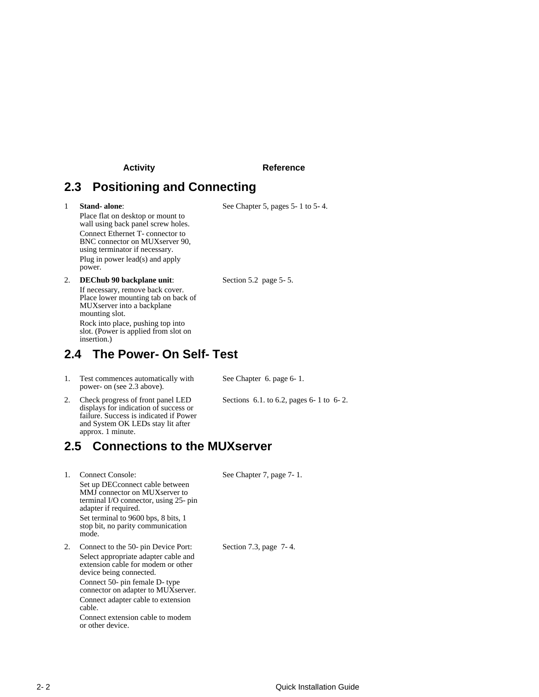#### **Activity Reference**

### **2.3 Positioning and Connecting**

1 **Stand-alone**:

See Chapter 5, pages 5-1 to 5-4.

Place flat on desktop or mount to wall using back panel screw holes. Connect Ethernet T-connector to BNC connector on MUXserver 90, using terminator if necessary. Plug in power lead(s) and apply power.

2. **DEChub 90 backplane unit**: If necessary, remove back cover. Place lower mounting tab on back of MUXserver into a backplane mounting slot. Rock into place, pushing top into slot. (Power is applied from slot on insertion.)

**2.4 The Power-On Self-Test**

1. Test commences automatically with power-on (see 2.3 above).

See Chapter 6. page 6-1.

Sections 6.1. to 6.2, pages 6-1 to 6-2.

Section 5.2 page 5-5.

2. Check progress of front panel LED displays for indication of success or failure. Success is indicated if Power and System OK LEDs stay lit after approx. 1 minute.

**2.5 Connections to the MUXserver**

1. Connect Console: Set up DECconnect cable between MMJ connector on MUXserver to terminal I/O connector, using 25-pin adapter if required. Set terminal to 9600 bps, 8 bits, 1 stop bit, no parity communication mode. See Chapter 7, page 7-1. 2. Connect to the 50-pin Device Port: Select appropriate adapter cable and extension cable for modem or other device being connected. Connect 50-pin female D-type connector on adapter to MUXserver. Connect adapter cable to extension cable. Connect extension cable to modem or other device. Section 7.3, page 7-4.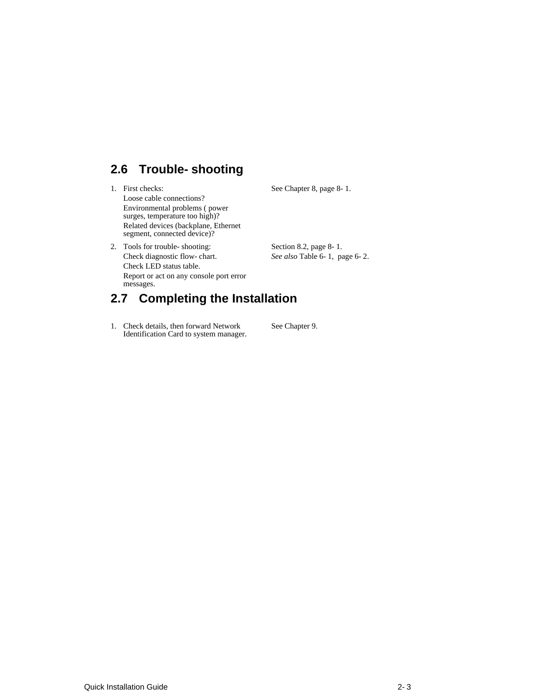# **2.6 Trouble-shooting**

1. First checks: Loose cable connections? Environmental problems ( power surges, temperature too high)? Related devices (backplane, Ethernet segment, connected device)?

2. Tools for trouble-shooting:

See Chapter 8, page 8-1.

Section 8.2, page 8-1. *See also* Table 6-1, page 6-2.

Check diagnostic flow-chart. Check LED status table. Report or act on any console port error messages. **2.7 Completing the Installation**

#### 1. Check details, then forward Network Identification Card to system manager. See Chapter 9.

Quick Installation Guide 2-3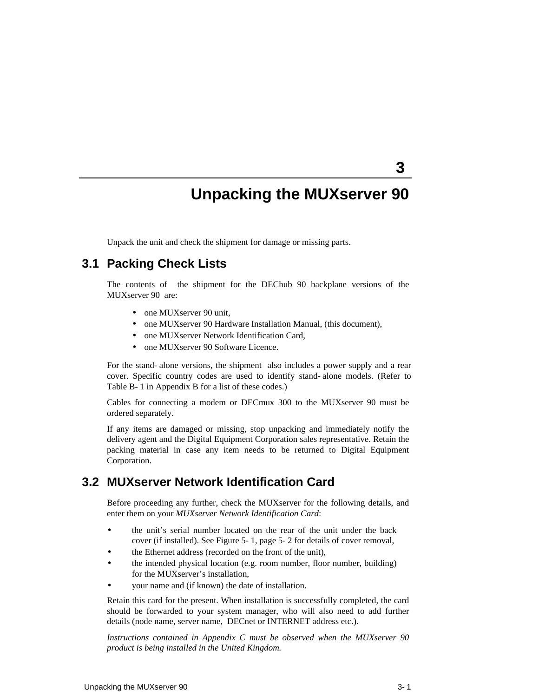# **Unpacking the MUXserver 90**

**3** 

Unpack the unit and check the shipment for damage or missing parts.

#### **3.1 Packing Check Lists**

The contents of the shipment for the DEChub 90 backplane versions of the MUXserver 90 are:

- one MUXserver 90 unit,
- one MUXserver 90 Hardware Installation Manual, (this document),
- one MUXserver Network Identification Card,
- one MUXserver 90 Software Licence.

For the stand-alone versions, the shipment also includes a power supply and a rear cover. Specific country codes are used to identify stand-alone models. (Refer to Table B-1 in Appendix B for a list of these codes.)

Cables for connecting a modem or DECmux 300 to the MUXserver 90 must be ordered separately.

If any items are damaged or missing, stop unpacking and immediately notify the delivery agent and the Digital Equipment Corporation sales representative. Retain the packing material in case any item needs to be returned to Digital Equipment Corporation.

#### **3.2 MUXserver Network Identification Card**

Before proceeding any further, check the MUXserver for the following details, and enter them on your *MUXserver Network Identification Card*:

- the unit's serial number located on the rear of the unit under the back cover (if installed). See Figure 5-1, page 5-2 for details of cover removal,
- the Ethernet address (recorded on the front of the unit),
- the intended physical location (e.g. room number, floor number, building) for the MUXserver's installation,
- your name and (if known) the date of installation.

Retain this card for the present. When installation is successfully completed, the card should be forwarded to your system manager, who will also need to add further details (node name, server name, DECnet or INTERNET address etc.).

*Instructions contained in Appendix C must be observed when the MUXserver 90 product is being installed in the United Kingdom.*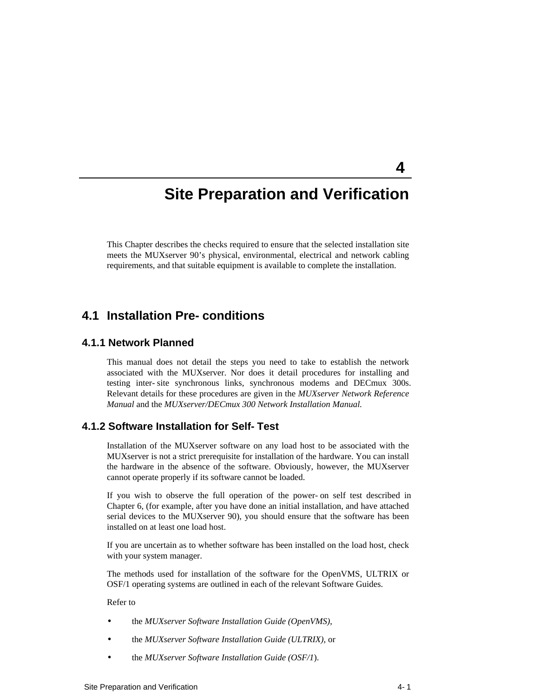# **Site Preparation and Verification**

This Chapter describes the checks required to ensure that the selected installation site meets the MUXserver 90's physical, environmental, electrical and network cabling requirements, and that suitable equipment is available to complete the installation.

#### **4.1 Installation Pre-conditions**

#### **4.1.1 Network Planned**

This manual does not detail the steps you need to take to establish the network associated with the MUXserver. Nor does it detail procedures for installing and testing inter-site synchronous links, synchronous modems and DECmux 300s. Relevant details for these procedures are given in the *MUXserver Network Reference Manual* and the *MUXserver/DECmux 300 Network Installation Manual.*

#### **4.1.2 Software Installation for Self-Test**

Installation of the MUXserver software on any load host to be associated with the MUXserver is not a strict prerequisite for installation of the hardware. You can install the hardware in the absence of the software. Obviously, however, the MUXserver cannot operate properly if its software cannot be loaded.

If you wish to observe the full operation of the power-on self test described in Chapter 6, (for example, after you have done an initial installation, and have attached serial devices to the MUXserver 90), you should ensure that the software has been installed on at least one load host.

If you are uncertain as to whether software has been installed on the load host, check with your system manager.

The methods used for installation of the software for the OpenVMS, ULTRIX or OSF/1 operating systems are outlined in each of the relevant Software Guides.

Refer to

- the *MUXserver Software Installation Guide (OpenVMS)*,
- the *MUXserver Software Installation Guide (ULTRIX),* or
- the *MUXserver Software Installation Guide (OSF/1*).

**4**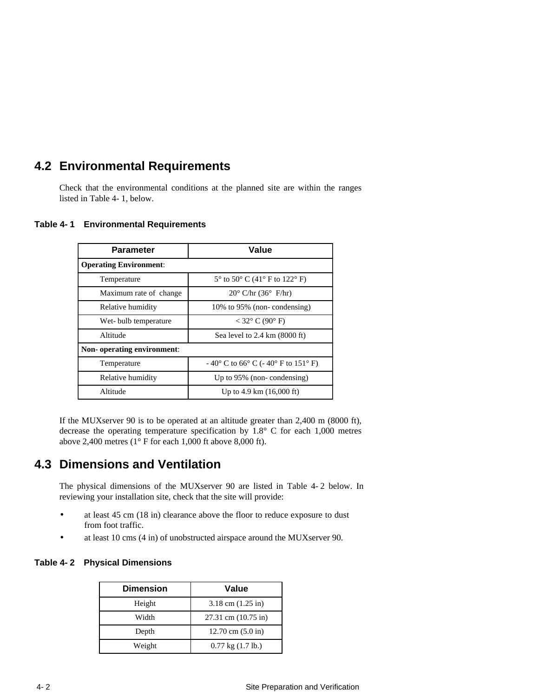### **4.2 Environmental Requirements**

Check that the environmental conditions at the planned site are within the ranges listed in Table 4-1, below.

| <b>Parameter</b>              | Value                                           |
|-------------------------------|-------------------------------------------------|
| <b>Operating Environment:</b> |                                                 |
| Temperature                   | $5^{\circ}$ to $50^{\circ}$ C (41° F to 122° F) |
| Maximum rate of change        | $20^{\circ}$ C/hr (36 $^{\circ}$ F/hr)          |
| Relative humidity             | 10% to 95% (non-condensing)                     |
| Wet-bulb temperature          | $<$ 32 $\degree$ C (90 $\degree$ F)             |
| Altitude                      | Sea level to $2.4 \text{ km}$ (8000 ft)         |
| Non-operating environment:    |                                                 |
| Temperature                   | $-40^{\circ}$ C to 66° C (-40° F to 151° F)     |
| Relative humidity             | Up to $95\%$ (non-condensing)                   |
| Altitude                      | Up to 4.9 km $(16,000 \text{ ft})$              |

#### **Table 4-1 Environmental Requirements**

If the MUXserver 90 is to be operated at an altitude greater than 2,400 m (8000 ft), decrease the operating temperature specification by 1.8° C for each 1,000 metres above 2,400 metres (1° F for each 1,000 ft above 8,000 ft).

### **4.3 Dimensions and Ventilation**

The physical dimensions of the MUXserver 90 are listed in Table 4-2 below. In reviewing your installation site, check that the site will provide:

- at least 45 cm (18 in) clearance above the floor to reduce exposure to dust from foot traffic.
- at least 10 cms (4 in) of unobstructed airspace around the MUXserver 90.

#### **Table 4-2 Physical Dimensions**

| <b>Dimension</b> | Value                       |
|------------------|-----------------------------|
| Height           | $3.18$ cm $(1.25$ in)       |
| Width            | 27.31 cm (10.75 in)         |
| Depth            | 12.70 cm $(5.0 \text{ in})$ |
| Weight           | $0.77$ kg $(1.7$ lb.)       |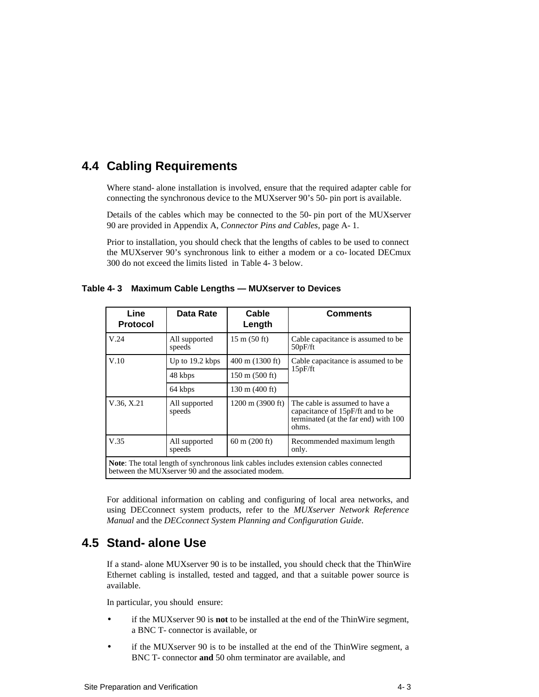### **4.4 Cabling Requirements**

Where stand-alone installation is involved, ensure that the required adapter cable for connecting the synchronous device to the MUXserver 90's 50-pin port is available.

Details of the cables which may be connected to the 50-pin port of the MUXserver 90 are provided in Appendix A, *Connector Pins and Cables,* page A-1.

Prior to installation, you should check that the lengths of cables to be used to connect the MUXserver 90's synchronous link to either a modem or a co-located DECmux 300 do not exceed the limits listed in Table 4-3 below.

| Line<br><b>Protocol</b>                                                                                                                     | Data Rate               | Cable<br>Length                | <b>Comments</b>                                                                                                     |  |  |
|---------------------------------------------------------------------------------------------------------------------------------------------|-------------------------|--------------------------------|---------------------------------------------------------------------------------------------------------------------|--|--|
| V.24                                                                                                                                        | All supported<br>speeds | $15 \text{ m} (50 \text{ ft})$ | Cable capacitance is assumed to be<br>50pF/ft                                                                       |  |  |
| V.10                                                                                                                                        | Up to 19.2 kbps         | $400 \text{ m}$ (1300 ft)      | Cable capacitance is assumed to be<br>15pF/ft                                                                       |  |  |
|                                                                                                                                             | 48 kbps                 | $150 \text{ m}$ (500 ft)       |                                                                                                                     |  |  |
|                                                                                                                                             | 64 kbps                 | $130 \text{ m}$ (400 ft)       |                                                                                                                     |  |  |
| V.36, X.21                                                                                                                                  | All supported<br>speeds | $1200 \text{ m}$ (3900 ft)     | The cable is assumed to have a<br>capacitance of 15pF/ft and to be<br>terminated (at the far end) with 100<br>ohms. |  |  |
| V.35                                                                                                                                        | All supported<br>speeds | $60 \text{ m}$ (200 ft)        | Recommended maximum length<br>only.                                                                                 |  |  |
| Note: The total length of synchronous link cables includes extension cables connected<br>between the MUXserver 90 and the associated modem. |                         |                                |                                                                                                                     |  |  |

**Table 4-3 Maximum Cable Lengths — MUXserver to Devices**

For additional information on cabling and configuring of local area networks, and using DECconnect system products, refer to the *MUXserver Network Reference Manual* and the *DECconnect System Planning and Configuration Guide*.

### **4.5 Stand-alone Use**

If a stand-alone MUXserver 90 is to be installed, you should check that the ThinWire Ethernet cabling is installed, tested and tagged, and that a suitable power source is available.

In particular, you should ensure:

- if the MUXserver 90 is **not** to be installed at the end of the ThinWire segment, a BNC T-connector is available, or
- if the MUXserver 90 is to be installed at the end of the ThinWire segment, a BNC T-connector **and** 50 ohm terminator are available, and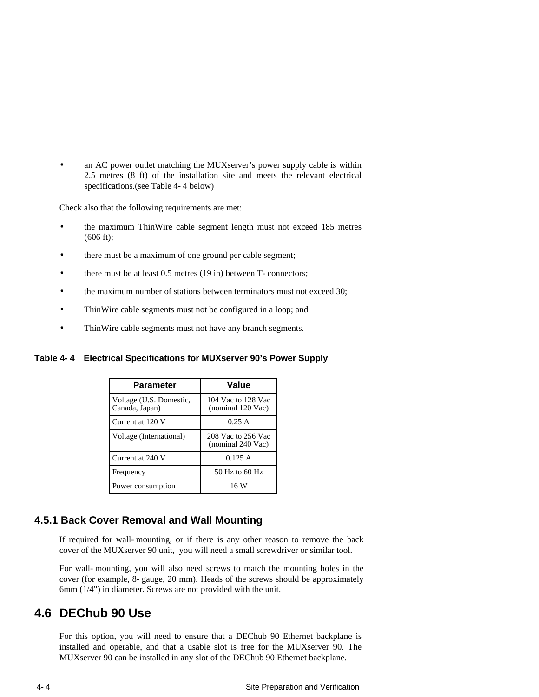an AC power outlet matching the MUXserver's power supply cable is within 2.5 metres (8 ft) of the installation site and meets the relevant electrical specifications.(see Table 4-4 below)

Check also that the following requirements are met:

- the maximum ThinWire cable segment length must not exceed 185 metres (606 ft);
- there must be a maximum of one ground per cable segment;
- there must be at least 0.5 metres (19 in) between T-connectors;
- the maximum number of stations between terminators must not exceed 30;
- ThinWire cable segments must not be configured in a loop; and
- ThinWire cable segments must not have any branch segments.

#### **Table 4-4 Electrical Specifications for MUXserver 90's Power Supply**

| <b>Parameter</b>                          | Value                                   |
|-------------------------------------------|-----------------------------------------|
| Voltage (U.S. Domestic,<br>Canada, Japan) | 104 Vac to 128 Vac<br>(nominal 120 Vac) |
| Current at 120 V                          | 0.25A                                   |
| Voltage (International)                   | 208 Vac to 256 Vac<br>(nominal 240 Vac) |
| Current at 240 V                          | 0.125 A                                 |
| Frequency                                 | 50 Hz to 60 Hz                          |
| Power consumption                         | 16 W                                    |

#### **4.5.1 Back Cover Removal and Wall Mounting**

If required for wall-mounting, or if there is any other reason to remove the back cover of the MUXserver 90 unit, you will need a small screwdriver or similar tool.

For wall-mounting, you will also need screws to match the mounting holes in the cover (for example, 8-gauge, 20 mm). Heads of the screws should be approximately 6mm (1/4") in diameter. Screws are not provided with the unit.

### **4.6 DEChub 90 Use**

For this option, you will need to ensure that a DEChub 90 Ethernet backplane is installed and operable, and that a usable slot is free for the MUXserver 90. The MUXserver 90 can be installed in any slot of the DEChub 90 Ethernet backplane.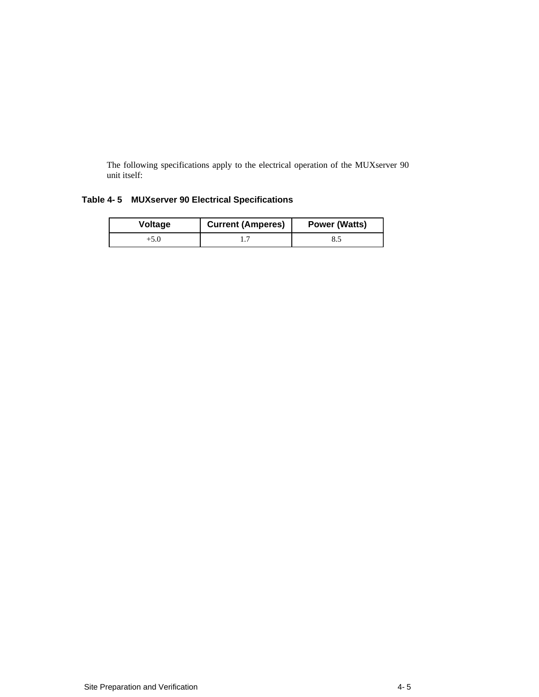The following specifications apply to the electrical operation of the MUXserver 90 unit itself:

#### **Table 4-5 MUXserver 90 Electrical Specifications**

| Voltage | <b>Current (Amperes)</b> | <b>Power (Watts)</b> |
|---------|--------------------------|----------------------|
| +5.0    |                          | 8.5                  |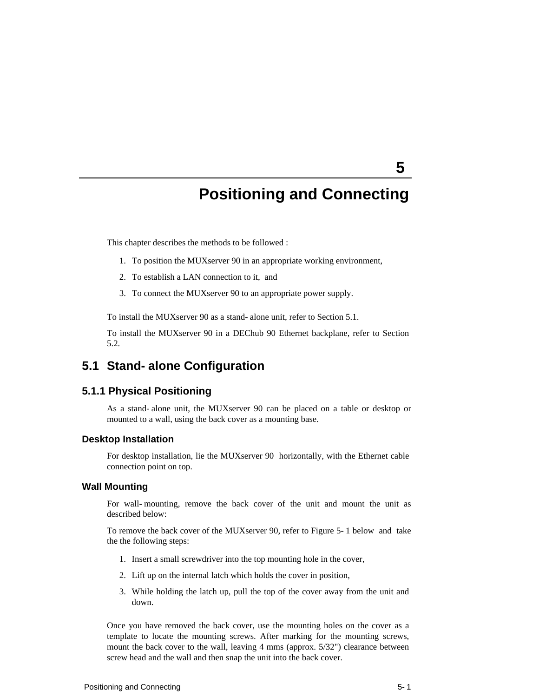# **5**

# **Positioning and Connecting**

This chapter describes the methods to be followed :

- 1. To position the MUXserver 90 in an appropriate working environment,
- 2. To establish a LAN connection to it, and
- 3. To connect the MUXserver 90 to an appropriate power supply.

To install the MUXserver 90 as a stand-alone unit, refer to Section 5.1.

To install the MUXserver 90 in a DEChub 90 Ethernet backplane, refer to Section 5.2.

### **5.1 Stand-alone Configuration**

#### **5.1.1 Physical Positioning**

As a stand-alone unit, the MUXserver 90 can be placed on a table or desktop or mounted to a wall, using the back cover as a mounting base.

#### **Desktop Installation**

For desktop installation, lie the MUXserver 90 horizontally, with the Ethernet cable connection point on top.

#### **Wall Mounting**

For wall-mounting, remove the back cover of the unit and mount the unit as described below:

To remove the back cover of the MUXserver 90, refer to Figure 5-1 below and take the the following steps:

- 1. Insert a small screwdriver into the top mounting hole in the cover,
- 2. Lift up on the internal latch which holds the cover in position,
- 3. While holding the latch up, pull the top of the cover away from the unit and down.

Once you have removed the back cover, use the mounting holes on the cover as a template to locate the mounting screws. After marking for the mounting screws, mount the back cover to the wall, leaving 4 mms (approx. 5/32") clearance between screw head and the wall and then snap the unit into the back cover.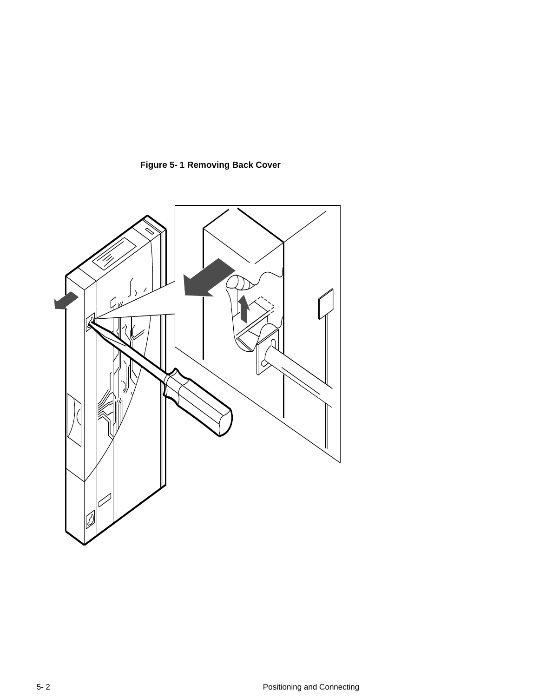

**Figure 5-1 Removing Back Cover**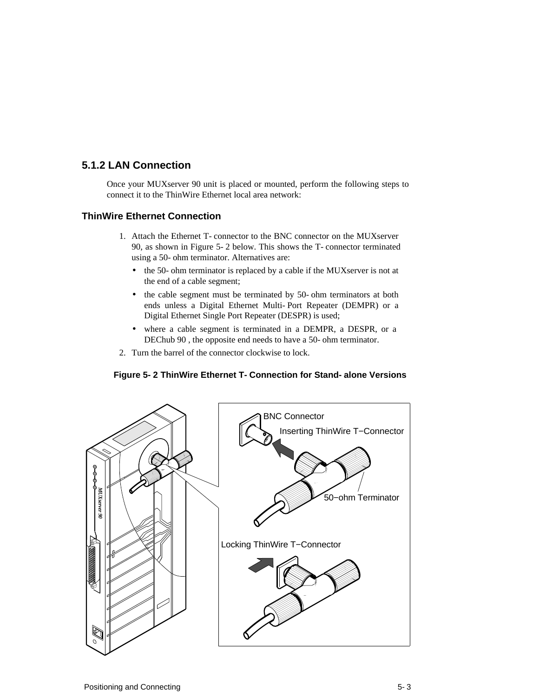## **5.1.2 LAN Connection**

Once your MUXserver 90 unit is placed or mounted, perform the following steps to connect it to the ThinWire Ethernet local area network:

#### **ThinWire Ethernet Connection**

- 1. Attach the Ethernet T-connector to the BNC connector on the MUXserver 90, as shown in Figure 5-2 below. This shows the T-connector terminated using a 50-ohm terminator. Alternatives are:
	- the 50-ohm terminator is replaced by a cable if the MUXserver is not at the end of a cable segment;
	- the cable segment must be terminated by 50-ohm terminators at both ends unless a Digital Ethernet Multi-Port Repeater (DEMPR) or a Digital Ethernet Single Port Repeater (DESPR) is used;
	- where a cable segment is terminated in a DEMPR, a DESPR, or a DEChub 90 , the opposite end needs to have a 50-ohm terminator.
- 2. Turn the barrel of the connector clockwise to lock.

#### **Figure 5-2 ThinWire Ethernet T-Connection for Stand-alone Versions**

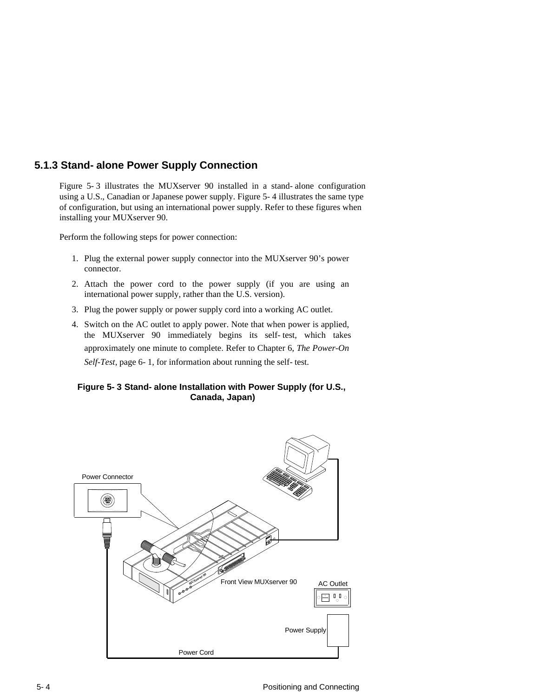## **5.1.3 Stand-alone Power Supply Connection**

Figure 5-3 illustrates the MUXserver 90 installed in a stand-alone configuration using a U.S., Canadian or Japanese power supply. Figure 5-4 illustrates the same type of configuration, but using an international power supply. Refer to these figures when installing your MUXserver 90.

Perform the following steps for power connection:

- 1. Plug the external power supply connector into the MUXserver 90's power connector.
- 2. Attach the power cord to the power supply (if you are using an international power supply, rather than the U.S. version).
- 3. Plug the power supply or power supply cord into a working AC outlet.
- 4. Switch on the AC outlet to apply power. Note that when power is applied, the MUXserver 90 immediately begins its self-test, which takes approximately one minute to complete. Refer to Chapter 6, *The Power-On Self-Test*, page 6-1, for information about running the self-test.

#### **Figure 5-3 Stand-alone Installation with Power Supply (for U.S., Canada, Japan)**

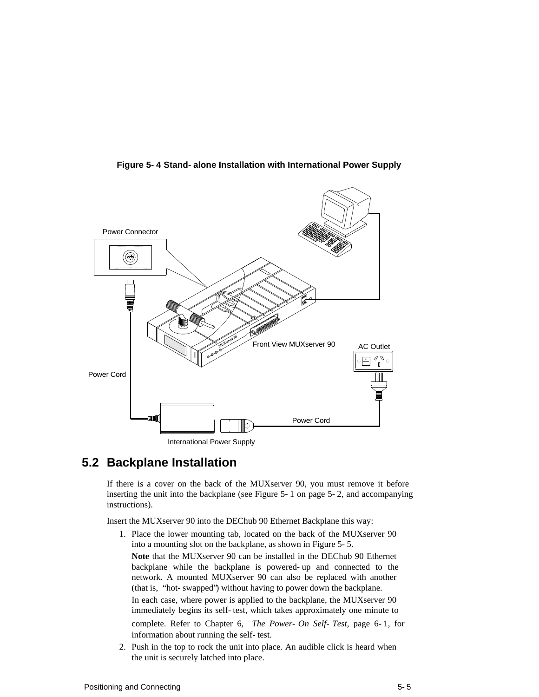

**Figure 5-4 Stand-alone Installation with International Power Supply**

# **5.2 Backplane Installation**

If there is a cover on the back of the MUXserver 90, you must remove it before inserting the unit into the backplane (see Figure 5-1 on page 5-2, and accompanying instructions).

Insert the MUXserver 90 into the DEChub 90 Ethernet Backplane this way:

- 1. Place the lower mounting tab, located on the back of the MUXserver 90 into a mounting slot on the backplane, as shown in Figure 5-5. **Note** that the MUXserver 90 can be installed in the DEChub 90 Ethernet backplane while the backplane is powered-up and connected to the network. A mounted MUXserver 90 can also be replaced with another (that is, "hot-swapped") without having to power down the backplane. In each case, where power is applied to the backplane, the MUXserver 90 immediately begins its self-test, which takes approximately one minute to complete. Refer to Chapter 6, *The Power-On Self-Test*, page 6-1, for information about running the self-test.
- 2. Push in the top to rock the unit into place. An audible click is heard when the unit is securely latched into place.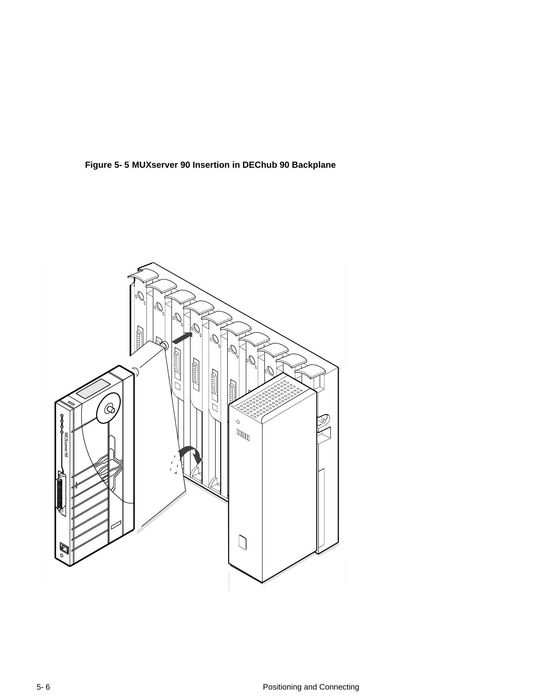

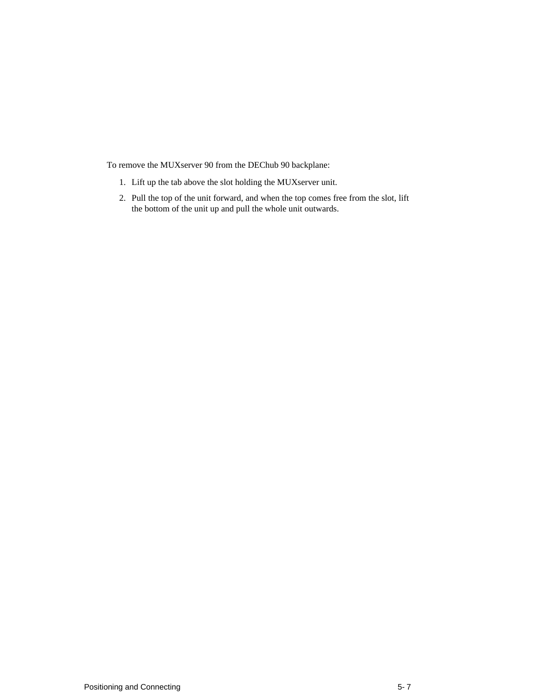To remove the MUXserver 90 from the DEChub 90 backplane:

- 1. Lift up the tab above the slot holding the MUXserver unit.
- 2. Pull the top of the unit forward, and when the top comes free from the slot, lift the bottom of the unit up and pull the whole unit outwards.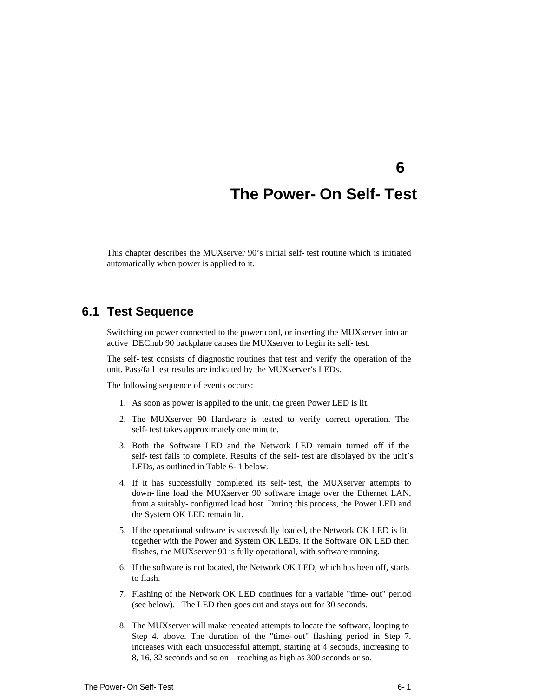# **The Power-On Self-Test**

**6** 

This chapter describes the MUXserver 90's initial self-test routine which is initiated automatically when power is applied to it.

## **6.1 Test Sequence**

Switching on power connected to the power cord, or inserting the MUXserver into an active DEChub 90 backplane causes the MUXserver to begin its self-test.

The self-test consists of diagnostic routines that test and verify the operation of the unit. Pass/fail test results are indicated by the MUXserver's LEDs.

The following sequence of events occurs:

- 1. As soon as power is applied to the unit, the green Power LED is lit.
- 2. The MUXserver 90 Hardware is tested to verify correct operation. The self-test takes approximately one minute.
- 3. Both the Software LED and the Network LED remain turned off if the self-test fails to complete. Results of the self-test are displayed by the unit's LEDs, as outlined in Table 6-1 below.
- 4. If it has successfully completed its self-test, the MUXserver attempts to down-line load the MUXserver 90 software image over the Ethernet LAN, from a suitably-configured load host. During this process, the Power LED and the System OK LED remain lit.
- 5. If the operational software is successfully loaded, the Network OK LED is lit, together with the Power and System OK LEDs. If the Software OK LED then flashes, the MUXserver 90 is fully operational, with software running.
- 6. If the software is not located, the Network OK LED, which has been off, starts to flash.
- 7. Flashing of the Network OK LED continues for a variable "time-out" period (see below). The LED then goes out and stays out for 30 seconds.
- 8. The MUXserver will make repeated attempts to locate the software, looping to Step 4. above. The duration of the "time-out" flashing period in Step 7. increases with each unsuccessful attempt, starting at 4 seconds, increasing to 8, 16, 32 seconds and so on – reaching as high as 300 seconds or so.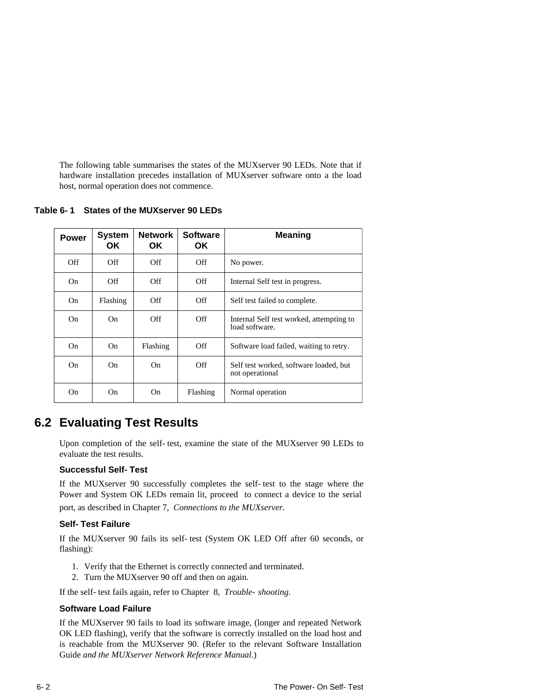The following table summarises the states of the MUXserver 90 LEDs. Note that if hardware installation precedes installation of MUXserver software onto a the load host, normal operation does not commence.

**Table 6-1 States of the MUXserver 90 LEDs**

| <b>Power</b> | System<br>OK. | <b>Network</b><br>OK. | <b>Software</b><br>OK. | Meaning                                                    |  |
|--------------|---------------|-----------------------|------------------------|------------------------------------------------------------|--|
| Off          | Off           | Off                   | Off                    | No power.                                                  |  |
| On           | Off           | Off                   | Off                    | Internal Self test in progress.                            |  |
| On           | Flashing      | Off                   | Off                    | Self test failed to complete.                              |  |
| On           | On            | Off                   | Off                    | Internal Self test worked, attempting to<br>load software. |  |
| On.          | On            | Flashing              | Off                    | Software load failed, waiting to retry.                    |  |
| On.          | On.           | On                    | Off                    | Self test worked, software loaded, but<br>not operational  |  |
| On           | On.           | On                    | Flashing               | Normal operation                                           |  |

# **6.2 Evaluating Test Results**

Upon completion of the self-test, examine the state of the MUXserver 90 LEDs to evaluate the test results.

#### **Successful Self-Test**

If the MUXserver 90 successfully completes the self-test to the stage where the Power and System OK LEDs remain lit, proceed to connect a device to the serial port, as described in Chapter 7, *Connections to the MUXserver.* 

#### **Self-Test Failure**

If the MUXserver 90 fails its self-test (System OK LED Off after 60 seconds, or flashing):

- 1. Verify that the Ethernet is correctly connected and terminated.
- 2. Turn the MUXserver 90 off and then on again.

If the self-test fails again, refer to Chapter 8, *Trouble-shooting*.

#### **Software Load Failure**

If the MUXserver 90 fails to load its software image, (longer and repeated Network OK LED flashing), verify that the software is correctly installed on the load host and is reachable from the MUXserver 90. (Refer to the relevant Software Installation Guide *and the MUXserver Network Reference Manual*.)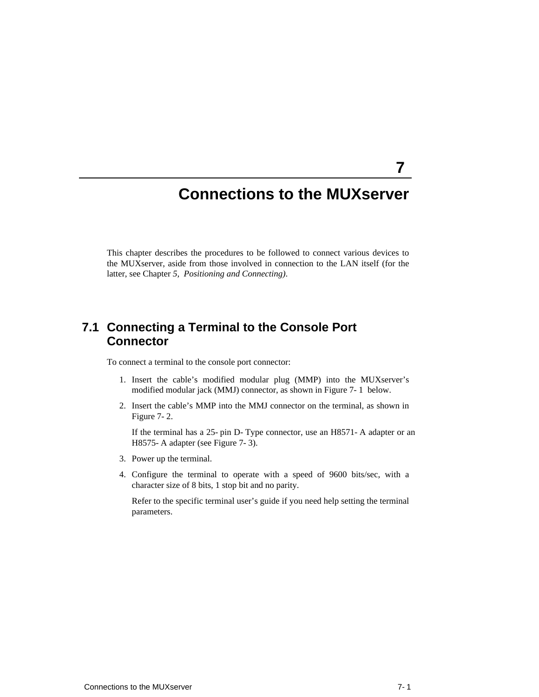# **Connections to the MUXserver**

This chapter describes the procedures to be followed to connect various devices to the MUXserver, aside from those involved in connection to the LAN itself (for the latter, see Chapter *5, Positioning and Connecting)*.

# **7.1 Connecting a Terminal to the Console Port Connector**

To connect a terminal to the console port connector:

- 1. Insert the cable's modified modular plug (MMP) into the MUXserver's modified modular jack (MMJ) connector, as shown in Figure 7-1 below.
- 2. Insert the cable's MMP into the MMJ connector on the terminal, as shown in Figure 7-2.

If the terminal has a 25-pin D-Type connector, use an H8571-A adapter or an H8575-A adapter (see Figure 7-3).

- 3. Power up the terminal.
- 4. Configure the terminal to operate with a speed of 9600 bits/sec, with a character size of 8 bits, 1 stop bit and no parity.

Refer to the specific terminal user's guide if you need help setting the terminal parameters.

**7**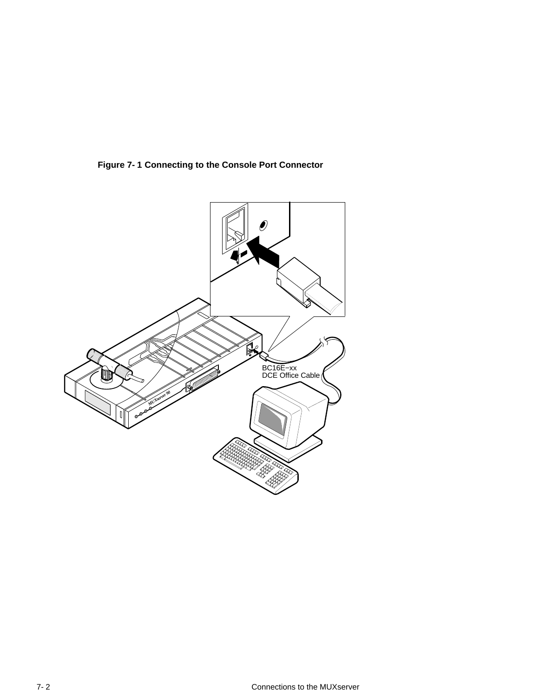**Figure 7-1 Connecting to the Console Port Connector**

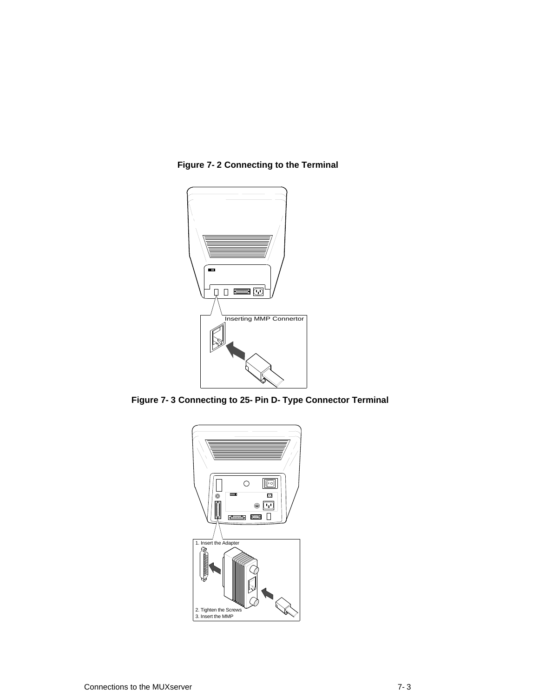

**Figure 7-2 Connecting to the Terminal**

**Figure 7-3 Connecting to 25-Pin D-Type Connector Terminal**

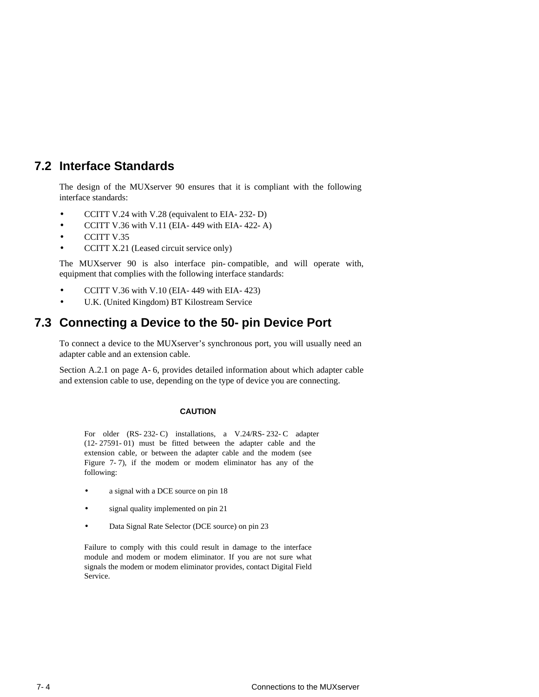# **7.2 Interface Standards**

The design of the MUXserver 90 ensures that it is compliant with the following interface standards:

- CCITT V.24 with V.28 (equivalent to EIA-232-D)
- CCITT V.36 with V.11 (EIA-449 with EIA-422-A)
- CCITT V.35
- CCITT X.21 (Leased circuit service only)

The MUXserver 90 is also interface pin-compatible, and will operate with, equipment that complies with the following interface standards:

- CCITT V.36 with V.10 (EIA-449 with EIA-423)
- U.K. (United Kingdom) BT Kilostream Service

# **7.3 Connecting a Device to the 50-pin Device Port**

To connect a device to the MUXserver's synchronous port, you will usually need an adapter cable and an extension cable.

Section A.2.1 on page A-6, provides detailed information about which adapter cable and extension cable to use, depending on the type of device you are connecting.

#### **CAUTION**

For older (RS-232-C) installations, a V.24/RS-232-C adapter (12-27591-01) must be fitted between the adapter cable and the extension cable, or between the adapter cable and the modem (see Figure 7-7), if the modem or modem eliminator has any of the following:

- a signal with a DCE source on pin 18
- signal quality implemented on pin 21
- Data Signal Rate Selector (DCE source) on pin 23

Failure to comply with this could result in damage to the interface module and modem or modem eliminator. If you are not sure what signals the modem or modem eliminator provides, contact Digital Field Service.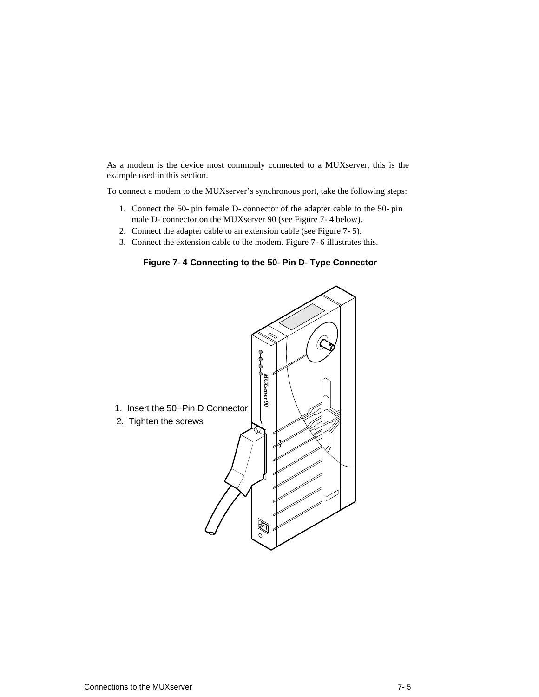As a modem is the device most commonly connected to a MUXserver, this is the example used in this section.

To connect a modem to the MUXserver's synchronous port, take the following steps:

- 1. Connect the 50-pin female D-connector of the adapter cable to the 50-pin male D-connector on the MUXserver 90 (see Figure 7-4 below).
- 2. Connect the adapter cable to an extension cable (see Figure 7-5).
- 3. Connect the extension cable to the modem. Figure 7-6 illustrates this.

**Figure 7-4 Connecting to the 50-Pin D-Type Connector**

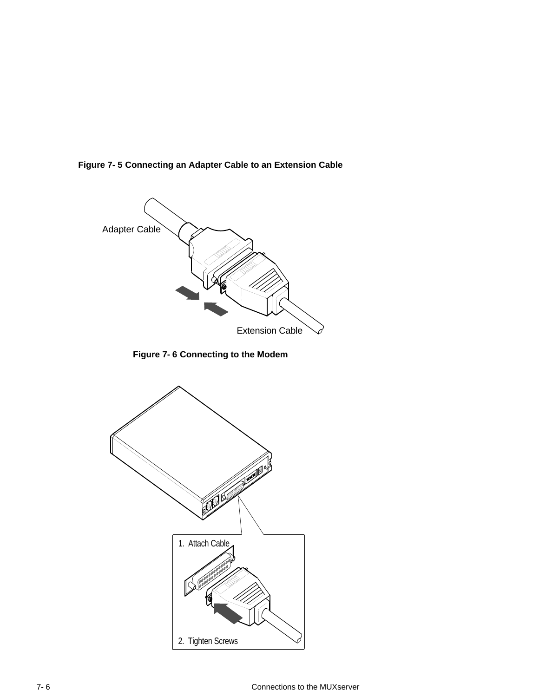**Figure 7-5 Connecting an Adapter Cable to an Extension Cable**



**Figure 7-6 Connecting to the Modem**

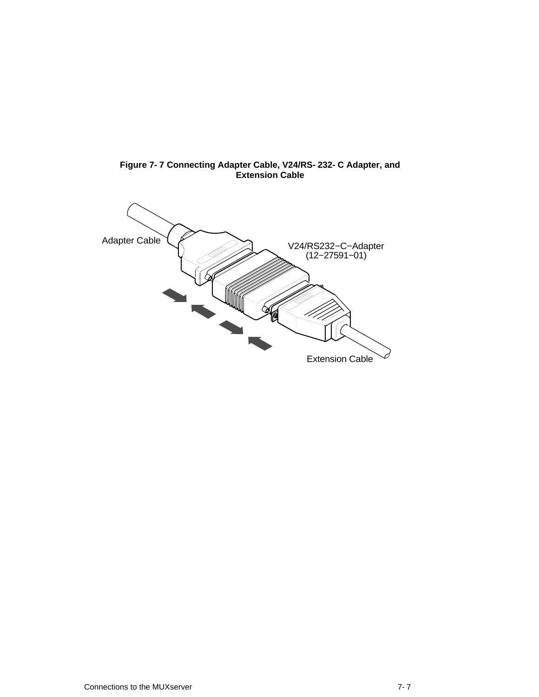

**Figure 7-7 Connecting Adapter Cable, V24/RS-232-C Adapter, and Extension Cable**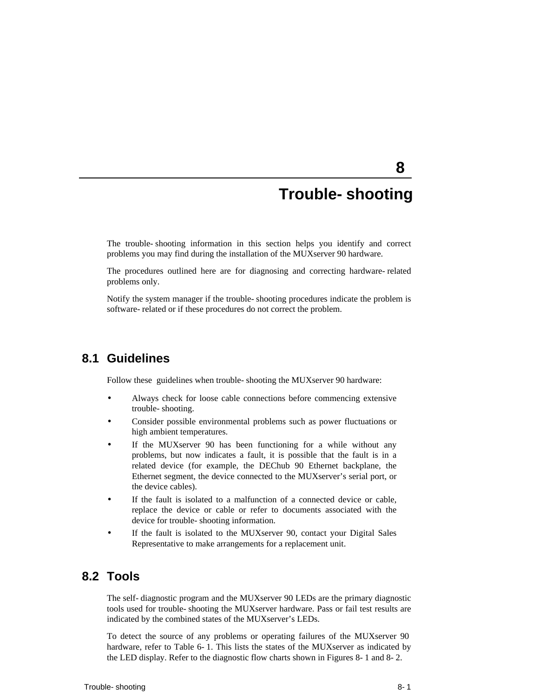# **Trouble-shooting**

**8** 

The trouble-shooting information in this section helps you identify and correct problems you may find during the installation of the MUXserver 90 hardware.

The procedures outlined here are for diagnosing and correcting hardware-related problems only.

Notify the system manager if the trouble-shooting procedures indicate the problem is software-related or if these procedures do not correct the problem.

## **8.1 Guidelines**

Follow these guidelines when trouble-shooting the MUXserver 90 hardware:

- Always check for loose cable connections before commencing extensive trouble-shooting.
- Consider possible environmental problems such as power fluctuations or high ambient temperatures.
- If the MUXserver 90 has been functioning for a while without any problems, but now indicates a fault, it is possible that the fault is in a related device (for example, the DEChub 90 Ethernet backplane, the Ethernet segment, the device connected to the MUXserver's serial port, or the device cables).
- If the fault is isolated to a malfunction of a connected device or cable, replace the device or cable or refer to documents associated with the device for trouble-shooting information.
- If the fault is isolated to the MUXserver 90, contact your Digital Sales Representative to make arrangements for a replacement unit.

# **8.2 Tools**

The self-diagnostic program and the MUXserver 90 LEDs are the primary diagnostic tools used for trouble-shooting the MUXserver hardware. Pass or fail test results are indicated by the combined states of the MUXserver's LEDs.

To detect the source of any problems or operating failures of the MUXserver 90 hardware, refer to Table 6-1. This lists the states of the MUXserver as indicated by the LED display. Refer to the diagnostic flow charts shown in Figures 8-1 and 8-2.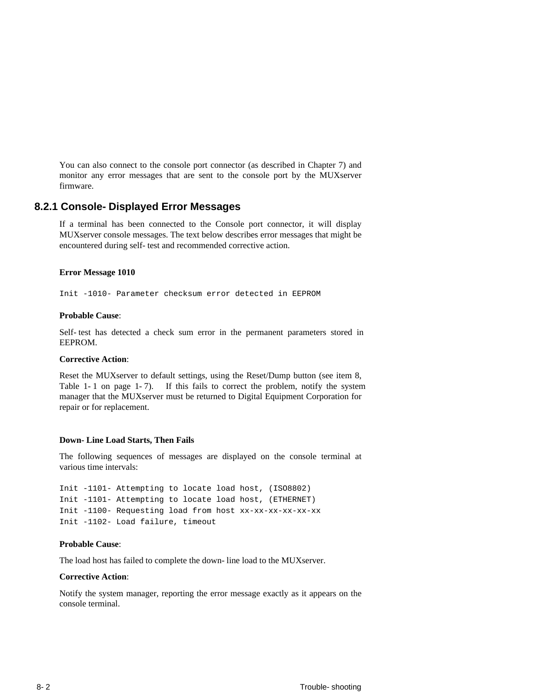You can also connect to the console port connector (as described in Chapter 7) and monitor any error messages that are sent to the console port by the MUXserver firmware.

#### **8.2.1 Console-Displayed Error Messages**

If a terminal has been connected to the Console port connector, it will display MUXserver console messages. The text below describes error messages that might be encountered during self-test and recommended corrective action.

#### **Error Message 1010**

Init -1010- Parameter checksum error detected in EEPROM

#### **Probable Cause**:

Self-test has detected a check sum error in the permanent parameters stored in EEPROM.

#### **Corrective Action**:

Reset the MUXserver to default settings, using the Reset/Dump button (see item 8, Table 1-1 on page 1-7). If this fails to correct the problem, notify the system manager that the MUXserver must be returned to Digital Equipment Corporation for repair or for replacement.

#### **Down-Line Load Starts, Then Fails**

The following sequences of messages are displayed on the console terminal at various time intervals:

Init -1101- Attempting to locate load host, (ISO8802) Init -1101- Attempting to locate load host, (ETHERNET) Init -1100- Requesting load from host xx-xx-xx-xx-xx-xx Init -1102- Load failure, timeout

#### **Probable Cause**:

The load host has failed to complete the down-line load to the MUXserver.

#### **Corrective Action**:

Notify the system manager, reporting the error message exactly as it appears on the console terminal.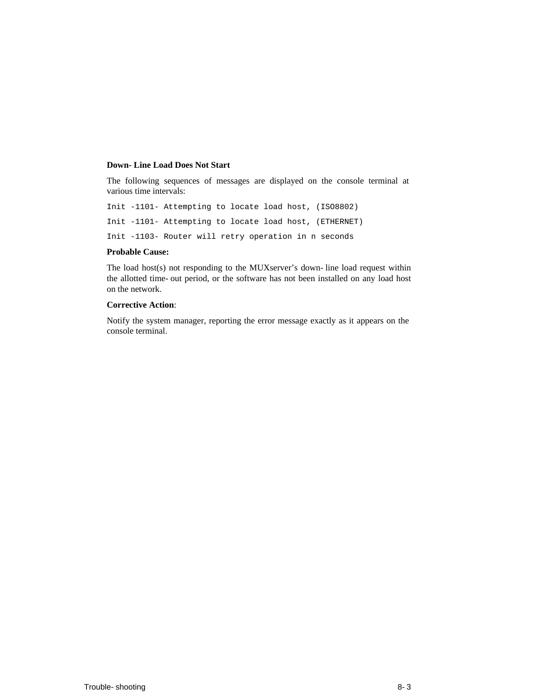#### **Down-Line Load Does Not Start**

The following sequences of messages are displayed on the console terminal at various time intervals:

Init -1101- Attempting to locate load host, (ISO8802) Init -1101- Attempting to locate load host, (ETHERNET) Init -1103- Router will retry operation in n seconds

#### **Probable Cause:**

The load host(s) not responding to the MUXserver's down-line load request within the allotted time-out period, or the software has not been installed on any load host on the network.

#### **Corrective Action**:

Notify the system manager, reporting the error message exactly as it appears on the console terminal.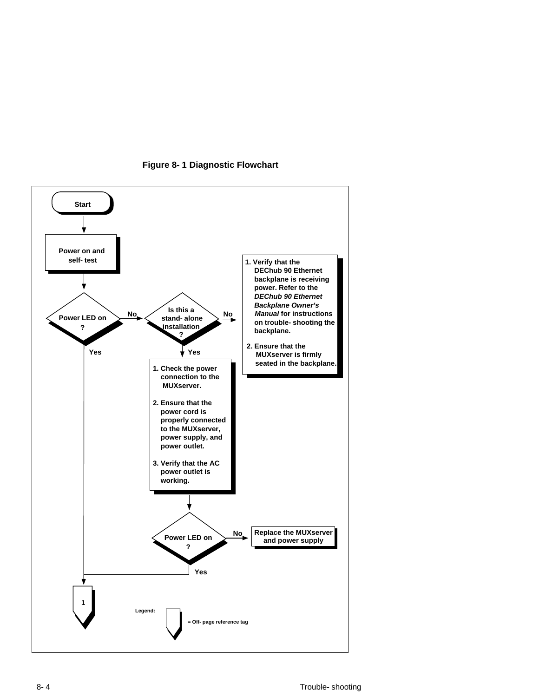

**Figure 8-1 Diagnostic Flowchart**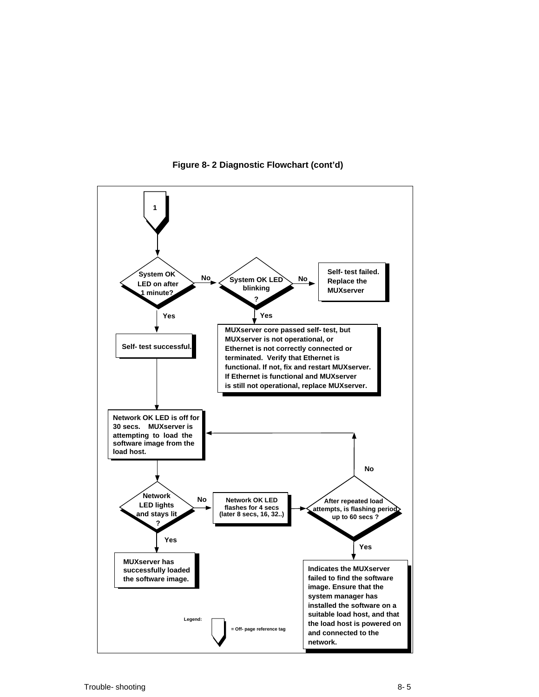

**Figure 8-2 Diagnostic Flowchart (cont'd)**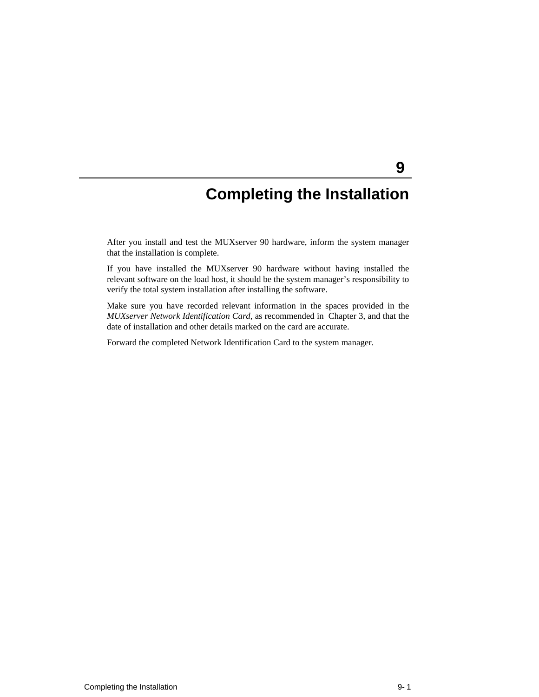# **Completing the Installation**

**9** 

After you install and test the MUXserver 90 hardware, inform the system manager that the installation is complete.

If you have installed the MUXserver 90 hardware without having installed the relevant software on the load host, it should be the system manager's responsibility to verify the total system installation after installing the software.

Make sure you have recorded relevant information in the spaces provided in the *MUXserver Network Identification Card*, as recommended in Chapter 3, and that the date of installation and other details marked on the card are accurate.

Forward the completed Network Identification Card to the system manager.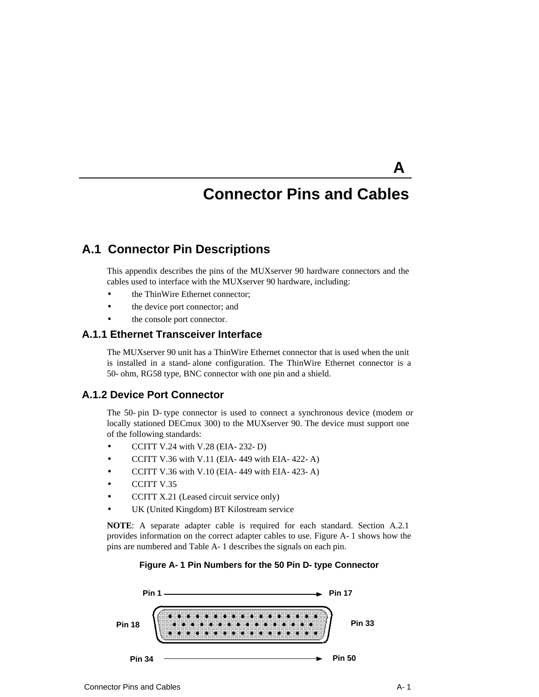# **Connector Pins and Cables**

**A** 

# **A.1 Connector Pin Descriptions**

This appendix describes the pins of the MUXserver 90 hardware connectors and the cables used to interface with the MUXserver 90 hardware, including:

- the ThinWire Ethernet connector;
- the device port connector; and
- the console port connector.

### **A.1.1 Ethernet Transceiver Interface**

The MUXserver 90 unit has a ThinWire Ethernet connector that is used when the unit is installed in a stand-alone configuration. The ThinWire Ethernet connector is a 50-ohm, RG58 type, BNC connector with one pin and a shield.

## **A.1.2 Device Port Connector**

The 50-pin D-type connector is used to connect a synchronous device (modem or locally stationed DECmux 300) to the MUXserver 90. The device must support one of the following standards:

- $\bullet$  CCITT V.24 with V.28 (EIA-232-D)
- CCITT V.36 with V.11 (EIA-449 with EIA-422-A)
- CCITT V.36 with V.10 (EIA-449 with EIA-423-A)
- CCITT V.35
- CCITT X.21 (Leased circuit service only)
- UK (United Kingdom) BT Kilostream service

**NOTE**: A separate adapter cable is required for each standard. Section A.2.1 provides information on the correct adapter cables to use. Figure A-1 shows how the pins are numbered and Table A-1 describes the signals on each pin.

#### **Figure A-1 Pin Numbers for the 50 Pin D-type Connector**

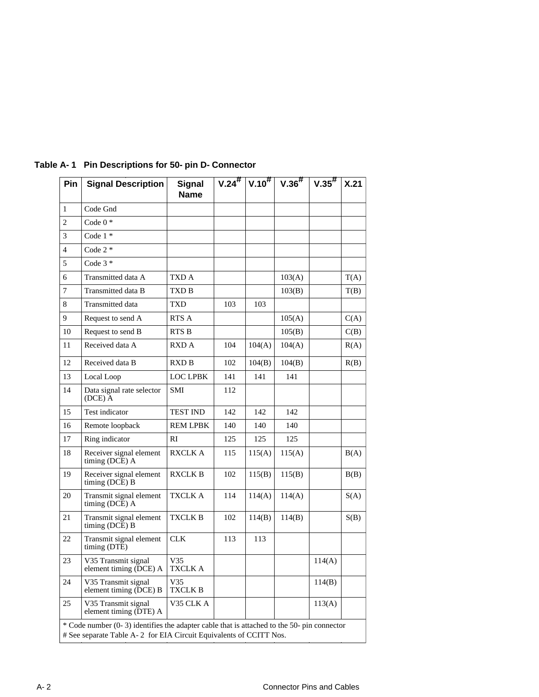| Pin            | <b>Signal Description</b>                                                                                                                                        | <b>Signal</b><br><b>Name</b> |     |        | $V.24$ <sup>#</sup> $V.10$ <sup>#</sup> $V.36$ <sup>#</sup> | $V.35$ # | X.21 |  |
|----------------|------------------------------------------------------------------------------------------------------------------------------------------------------------------|------------------------------|-----|--------|-------------------------------------------------------------|----------|------|--|
| $\mathbf{1}$   | Code Gnd                                                                                                                                                         |                              |     |        |                                                             |          |      |  |
| $\overline{2}$ | Code $0*$                                                                                                                                                        |                              |     |        |                                                             |          |      |  |
| 3              | Code $1 *$                                                                                                                                                       |                              |     |        |                                                             |          |      |  |
| $\overline{4}$ | Code $2 *$                                                                                                                                                       |                              |     |        |                                                             |          |      |  |
| 5              | Code $3*$                                                                                                                                                        |                              |     |        |                                                             |          |      |  |
| 6              | Transmitted data A                                                                                                                                               | TXD A                        |     |        | 103(A)                                                      |          | T(A) |  |
| $\overline{7}$ | Transmitted data B                                                                                                                                               | TXD B                        |     |        | 103(B)                                                      |          | T(B) |  |
| 8              | <b>Transmitted</b> data                                                                                                                                          | TXD                          | 103 | 103    |                                                             |          |      |  |
| 9              | Request to send A                                                                                                                                                | RTS A                        |     |        | 105(A)                                                      |          | C(A) |  |
| 10             | Request to send B                                                                                                                                                | RTS B                        |     |        | 105(B)                                                      |          | C(B) |  |
| 11             | Received data A                                                                                                                                                  | RXD A                        | 104 | 104(A) | 104(A)                                                      |          | R(A) |  |
| 12             | Received data B                                                                                                                                                  | RXD B                        | 102 | 104(B) | 104(B)                                                      |          | R(B) |  |
| 13             | Local Loop                                                                                                                                                       | <b>LOC LPBK</b>              | 141 | 141    | 141                                                         |          |      |  |
| 14             | Data signal rate selector<br>$(DCE)$ A                                                                                                                           | <b>SMI</b>                   | 112 |        |                                                             |          |      |  |
| 15             | Test indicator                                                                                                                                                   | <b>TEST IND</b>              | 142 | 142    | 142                                                         |          |      |  |
| 16             | Remote loopback                                                                                                                                                  | <b>REM LPBK</b>              | 140 | 140    | 140                                                         |          |      |  |
| 17             | Ring indicator                                                                                                                                                   | RI                           | 125 | 125    | 125                                                         |          |      |  |
| 18             | Receiver signal element<br>timing (DCE) A                                                                                                                        | <b>RXCLK A</b>               | 115 | 115(A) | 115(A)                                                      |          | B(A) |  |
| 19             | Receiver signal element<br>timing (DCE) B                                                                                                                        | <b>RXCLK B</b>               | 102 | 115(B) | 115(B)                                                      |          | B(B) |  |
| 20             | Transmit signal element<br>timing (DCE) A                                                                                                                        | TXCLK A                      | 114 | 114(A) | 114(A)                                                      |          | S(A) |  |
| 21             | Transmit signal element<br>timing $(DCE)$ B                                                                                                                      | <b>TXCLK B</b>               | 102 | 114(B) | 114(B)                                                      |          | S(B) |  |
| 22             | Transmit signal element<br>timing (DTE)                                                                                                                          | <b>CLK</b>                   | 113 | 113    |                                                             |          |      |  |
| 23             | V35 Transmit signal<br>element timing (DCE) A                                                                                                                    | V <sub>35</sub><br>TXCLK A   |     |        |                                                             | 114(A)   |      |  |
| 24             | V35 Transmit signal<br>element timing (DCE) B                                                                                                                    | V35<br>TXCLK B               |     |        |                                                             | 114(B)   |      |  |
| 25             | V35 Transmit signal<br>element timing (DTE) A                                                                                                                    | V35 CLK A                    |     |        |                                                             | 113(A)   |      |  |
|                | * Code number (0-3) identifies the adapter cable that is attached to the 50- pin connector<br># See separate Table A-2 for EIA Circuit Equivalents of CCITT Nos. |                              |     |        |                                                             |          |      |  |

# Table A-1 Pin Descriptions for 50-pin D-Connector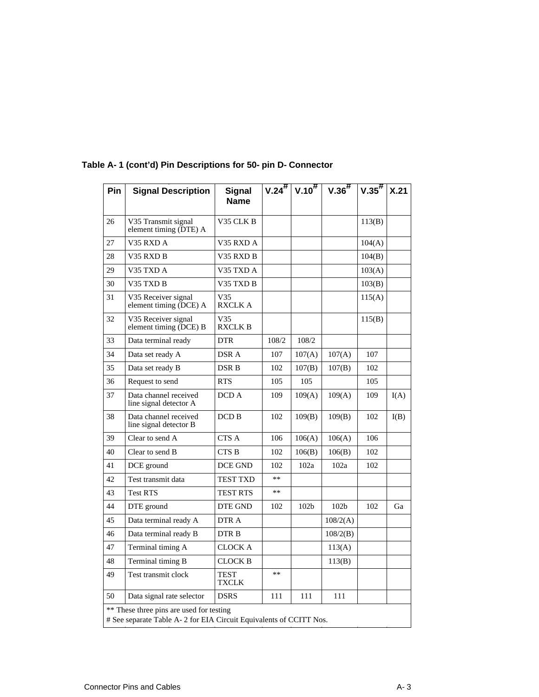| Pin                                                                                                            | <b>Signal Description</b>                       | <b>Signal</b><br><b>Name</b>     |       |                  | $V.24^{\#}$ $V.10^{\#}$ $V.36^{\#}$ | $ V.35^{\#}$ | X.21 |
|----------------------------------------------------------------------------------------------------------------|-------------------------------------------------|----------------------------------|-------|------------------|-------------------------------------|--------------|------|
| 26                                                                                                             | V35 Transmit signal<br>element timing (DTE) A   | V35 CLK B                        |       |                  |                                     | 113(B)       |      |
| 27                                                                                                             | V35 RXD A                                       | V35 RXD A                        |       |                  |                                     | 104(A)       |      |
| 28                                                                                                             | V35 RXD B                                       | V35 RXD B                        |       |                  |                                     | 104(B)       |      |
| 29                                                                                                             | V35 TXD A                                       | V35 TXD A                        |       |                  |                                     | 103(A)       |      |
| 30                                                                                                             | V35 TXD B                                       | V35 TXD B                        |       |                  |                                     | 103(B)       |      |
| 31                                                                                                             | V35 Receiver signal<br>element timing (DCE) A   | V <sub>35</sub><br><b>RXCLKA</b> |       |                  |                                     | 115(A)       |      |
| 32                                                                                                             | V35 Receiver signal<br>element timing (DCE) B   | V35<br><b>RXCLK B</b>            |       |                  |                                     | 115(B)       |      |
| 33                                                                                                             | Data terminal ready                             | <b>DTR</b>                       | 108/2 | 108/2            |                                     |              |      |
| 34                                                                                                             | Data set ready A                                | DSR A                            | 107   | 107(A)           | 107(A)                              | 107          |      |
| 35                                                                                                             | Data set ready B                                | DSR B                            | 102   | 107(B)           | 107(B)                              | 102          |      |
| 36                                                                                                             | Request to send                                 | <b>RTS</b>                       | 105   | 105              |                                     | 105          |      |
| 37                                                                                                             | Data channel received<br>line signal detector A | DCD A                            | 109   | 109(A)           | 109(A)                              | 109          | I(A) |
| 38                                                                                                             | Data channel received<br>line signal detector B | DCD B                            | 102   | 109(B)           | 109(B)                              | 102          | I(B) |
| 39                                                                                                             | Clear to send A                                 | <b>CTS A</b>                     | 106   | 106(A)           | 106(A)                              | 106          |      |
| 40                                                                                                             | Clear to send B                                 | <b>CTS B</b>                     | 102   | 106(B)           | 106(B)                              | 102          |      |
| 41                                                                                                             | DCE ground                                      | <b>DCE GND</b>                   | 102   | 102a             | 102a                                | 102          |      |
| 42                                                                                                             | Test transmit data                              | <b>TEST TXD</b>                  | $**$  |                  |                                     |              |      |
| 43                                                                                                             | <b>Test RTS</b>                                 | <b>TEST RTS</b>                  | $**$  |                  |                                     |              |      |
| 44                                                                                                             | DTE ground                                      | DTE GND                          | 102   | 102 <sub>b</sub> | 102 <sub>b</sub>                    | 102          | Ga   |
| 45                                                                                                             | Data terminal ready A                           | DTR A                            |       |                  | 108/2(A)                            |              |      |
| 46                                                                                                             | Data terminal ready B                           | DTR B                            |       |                  | 108/2(B)                            |              |      |
| 47                                                                                                             | Terminal timing A                               | <b>CLOCK A</b>                   |       |                  | 113(A)                              |              |      |
| 48                                                                                                             | Terminal timing B                               | <b>CLOCK B</b>                   |       |                  | 113(B)                              |              |      |
| 49                                                                                                             | Test transmit clock                             | <b>TEST</b><br><b>TXCLK</b>      | **    |                  |                                     |              |      |
| 50                                                                                                             | Data signal rate selector                       | <b>DSRS</b>                      | 111   | 111              | 111                                 |              |      |
| ** These three pins are used for testing<br># See separate Table A-2 for EIA Circuit Equivalents of CCITT Nos. |                                                 |                                  |       |                  |                                     |              |      |

# **Table A-1 (cont'd) Pin Descriptions for 50-pin D-Connector**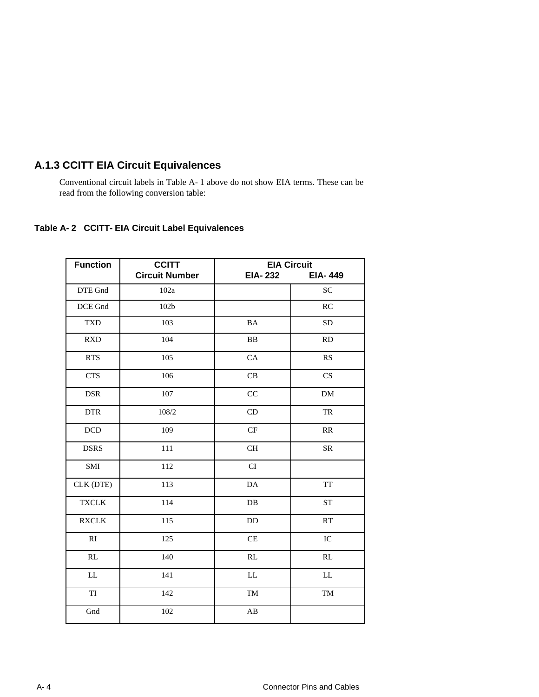# **A.1.3 CCITT EIA Circuit Equivalences**

Conventional circuit labels in Table A-1 above do not show EIA terms. These can be read from the following conversion table:

### **Table A-2 CCITT-EIA Circuit Label Equivalences**

| <b>Function</b> | <b>CCITT</b>          | <b>EIA Circuit</b> |                |  |
|-----------------|-----------------------|--------------------|----------------|--|
|                 | <b>Circuit Number</b> | <b>EIA-232</b>     | <b>EIA-449</b> |  |
| DTE Gnd         | 102a                  |                    | <b>SC</b>      |  |
| DCE Gnd         | 102 <sub>b</sub>      |                    | RC             |  |
| <b>TXD</b>      | 103                   | $\rm BA$           | <b>SD</b>      |  |
| <b>RXD</b>      | 104                   | <b>BB</b>          | <b>RD</b>      |  |
| <b>RTS</b>      | 105                   | CA                 | RS             |  |
| <b>CTS</b>      | 106                   | CB                 | CS             |  |
| <b>DSR</b>      | 107                   | CC                 | <b>DM</b>      |  |
| <b>DTR</b>      | 108/2                 | CD                 | TR             |  |
| DCD             | 109                   | CF                 | RR             |  |
| <b>DSRS</b>     | 111                   | <b>CH</b>          | <b>SR</b>      |  |
| SMI             | 112                   | CI                 |                |  |
| CLK (DTE)       | 113                   | DA                 | <b>TT</b>      |  |
| <b>TXCLK</b>    | 114                   | $\rm DB$           | <b>ST</b>      |  |
| <b>RXCLK</b>    | 115                   | $\rm{DD}$          | RT             |  |
| RI              | 125                   | CE                 | IC             |  |
| RL              | 140                   | RL                 | RL             |  |
| ${\rm LL}$      | 141                   | ${\rm LL}$         | ${\rm LL}$     |  |
| TI              | 142                   | <b>TM</b>          | <b>TM</b>      |  |
| Gnd             | 102                   | AB                 |                |  |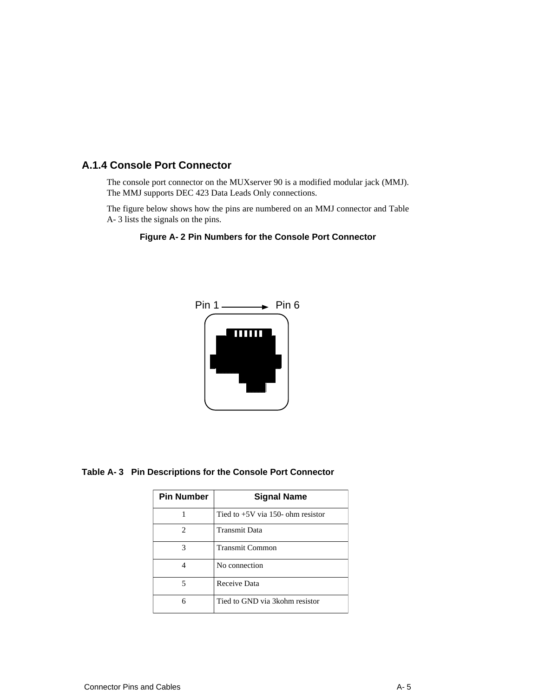# **A.1.4 Console Port Connector**

The console port connector on the MUXserver 90 is a modified modular jack (MMJ). The MMJ supports DEC 423 Data Leads Only connections.

The figure below shows how the pins are numbered on an MMJ connector and Table A-3 lists the signals on the pins.





**Table A-3 Pin Descriptions for the Console Port Connector**

| <b>Pin Number</b> | <b>Signal Name</b>                  |
|-------------------|-------------------------------------|
|                   | Tied to $+5V$ via 150- ohm resistor |
| 2                 | Transmit Data                       |
| 3                 | <b>Transmit Common</b>              |
|                   | No connection                       |
| 5                 | Receive Data                        |
| 6                 | Tied to GND via 3 kohm resistor     |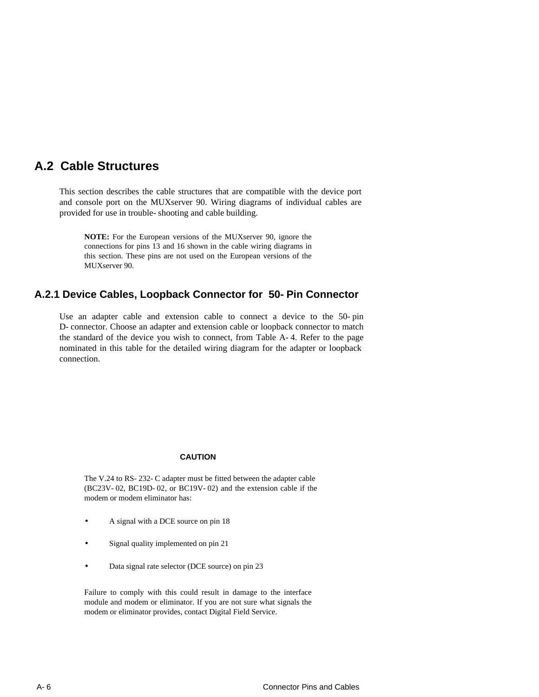# **A.2 Cable Structures**

This section describes the cable structures that are compatible with the device port and console port on the MUXserver 90. Wiring diagrams of individual cables are provided for use in trouble-shooting and cable building.

**NOTE:** For the European versions of the MUXserver 90, ignore the connections for pins 13 and 16 shown in the cable wiring diagrams in this section. These pins are not used on the European versions of the MUXserver 90.

### **A.2.1 Device Cables, Loopback Connector for 50-Pin Connector**

Use an adapter cable and extension cable to connect a device to the 50-pin D-connector. Choose an adapter and extension cable or loopback connector to match the standard of the device you wish to connect, from Table A-4. Refer to the page nominated in this table for the detailed wiring diagram for the adapter or loopback connection.

#### **CAUTION**

The V.24 to RS-232-C adapter must be fitted between the adapter cable (BC23V-02, BC19D-02, or BC19V-02) and the extension cable if the modem or modem eliminator has:

- A signal with a DCE source on pin 18
- Signal quality implemented on pin 21
- Data signal rate selector (DCE source) on pin 23

Failure to comply with this could result in damage to the interface module and modem or eliminator. If you are not sure what signals the modem or eliminator provides, contact Digital Field Service.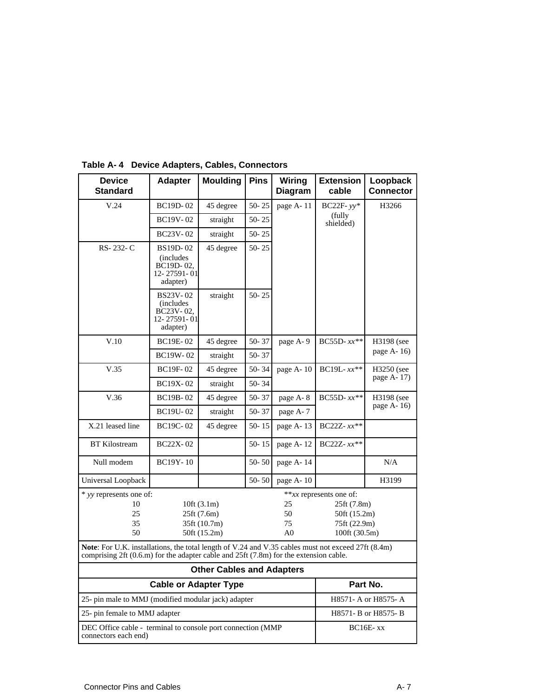| <b>Device</b><br><b>Standard</b>                                                                                                                                                            | <b>Adapter</b>                                                        | <b>Moulding</b> | <b>Pins</b> | Wiring<br><b>Diagram</b>                 | <b>Extension</b><br>cable | Loopback<br><b>Connector</b> |  |
|---------------------------------------------------------------------------------------------------------------------------------------------------------------------------------------------|-----------------------------------------------------------------------|-----------------|-------------|------------------------------------------|---------------------------|------------------------------|--|
| V.24                                                                                                                                                                                        | BC19D-02                                                              | 45 degree       | $50 - 25$   | page A-11                                | BC22F- $yy*$              | H3266                        |  |
|                                                                                                                                                                                             | <b>BC19V-02</b>                                                       | straight        | $50 - 25$   |                                          | (fully)<br>shielded)      |                              |  |
|                                                                                                                                                                                             | BC23V-02                                                              | straight        | $50 - 25$   |                                          |                           |                              |  |
| RS-232-C                                                                                                                                                                                    | BS19D-02<br><i>(includes)</i><br>BC19D-02,<br>12-27591-01<br>adapter) | 45 degree       | $50 - 25$   |                                          |                           |                              |  |
|                                                                                                                                                                                             | BS23V-02<br><i>(includes)</i><br>BC23V-02,<br>12-27591-01<br>adapter) | straight        | $50 - 25$   |                                          |                           |                              |  |
| V.10                                                                                                                                                                                        | <b>BC19E-02</b>                                                       | 45 degree       | $50 - 37$   | page A-9                                 | BC55D- $xx**$             | H3198 (see                   |  |
|                                                                                                                                                                                             | BC19W-02                                                              | straight        | $50 - 37$   |                                          |                           | page A-16)                   |  |
| V.35                                                                                                                                                                                        | BC19F-02                                                              | 45 degree       | 50-34       | page A-10                                | BC19L- $xx**$             | H3250 (see                   |  |
|                                                                                                                                                                                             | BC19X-02                                                              | straight        | $50 - 34$   |                                          |                           | page A-17)                   |  |
| V.36                                                                                                                                                                                        | BC19B-02                                                              | 45 degree       | $50 - 37$   | page A-8                                 | BC55D- $xx**$             | H3198 (see                   |  |
|                                                                                                                                                                                             | <b>BC19U-02</b>                                                       | straight        | $50 - 37$   | page A-7                                 |                           | page A-16)                   |  |
| X.21 leased line                                                                                                                                                                            | <b>BC19C-02</b>                                                       | 45 degree       | $50 - 15$   | page A-13                                | $BC22Z - xx**$            |                              |  |
| <b>BT</b> Kilostream                                                                                                                                                                        | <b>BC22X-02</b>                                                       |                 | $50 - 15$   | page A-12                                | $BC22Z - xx**$            |                              |  |
| Null modem                                                                                                                                                                                  | BC19Y-10                                                              |                 | $50 - 50$   | page A-14                                |                           | N/A                          |  |
| Universal Loopback                                                                                                                                                                          |                                                                       |                 | $50 - 50$   | page A-10                                |                           | H3199                        |  |
| * yy represents one of:                                                                                                                                                                     |                                                                       |                 |             |                                          | **xx represents one of:   |                              |  |
| 10                                                                                                                                                                                          |                                                                       | 10 $ft(3.1m)$   |             | 25                                       | 25ft (7.8m)               |                              |  |
| 25                                                                                                                                                                                          | 25ft (7.6m)                                                           |                 |             | 50<br>50ft (15.2m)<br>75<br>75ft (22.9m) |                           |                              |  |
| 35<br>35ft (10.7m)<br>50<br>50ft (15.2m)                                                                                                                                                    |                                                                       |                 |             | A <sub>0</sub>                           | 100ft (30.5m)             |                              |  |
| Note: For U.K. installations, the total length of V.24 and V.35 cables must not exceed 27ft (8.4m)<br>comprising 2ft (0.6.m) for the adapter cable and 25ft (7.8m) for the extension cable. |                                                                       |                 |             |                                          |                           |                              |  |
| <b>Other Cables and Adapters</b>                                                                                                                                                            |                                                                       |                 |             |                                          |                           |                              |  |
| <b>Cable or Adapter Type</b>                                                                                                                                                                |                                                                       |                 |             |                                          | Part No.                  |                              |  |
| 25- pin male to MMJ (modified modular jack) adapter                                                                                                                                         |                                                                       |                 |             |                                          | H8571- A or H8575- A      |                              |  |
| 25- pin female to MMJ adapter                                                                                                                                                               | H8571- B or H8575- B                                                  |                 |             |                                          |                           |                              |  |
| DEC Office cable - terminal to console port connection (MMP<br>connectors each end)                                                                                                         |                                                                       |                 |             |                                          | $BC16E$ - xx              |                              |  |

**Table A-4 Device Adapters, Cables, Connectors**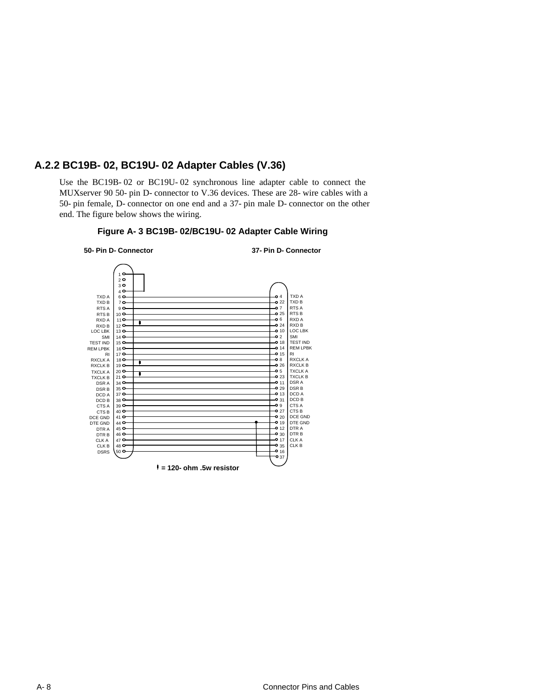## **A.2.2 BC19B-02, BC19U-02 Adapter Cables (V.36)**

Use the BC19B-02 or BC19U-02 synchronous line adapter cable to connect the MUXserver 90 50-pin D-connector to V.36 devices. These are 28-wire cables with a 50-pin female, D-connector on one end and a 37-pin male D-connector on the other end. The figure below shows the wiring.



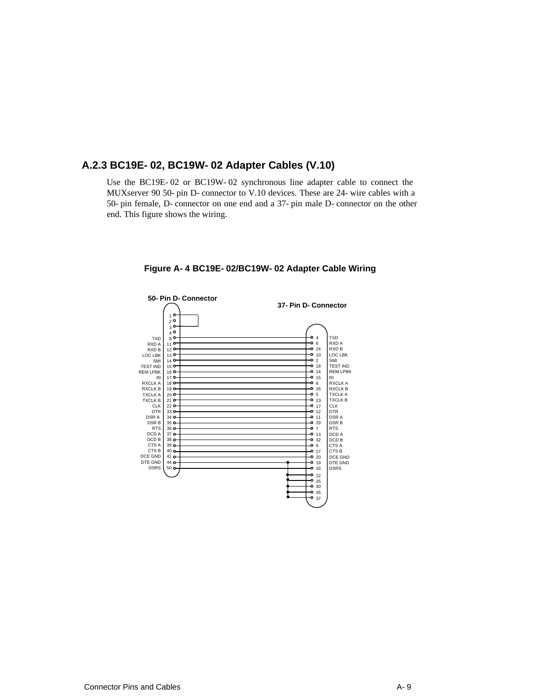### **A.2.3 BC19E-02, BC19W-02 Adapter Cables (V.10)**

Use the BC19E-02 or BC19W-02 synchronous line adapter cable to connect the MUXserver 90 50-pin D-connector to V.10 devices. These are 24-wire cables with a 50-pin female, D-connector on one end and a 37-pin male D-connector on the other end. This figure shows the wiring.



**Figure A-4 BC19E-02/BC19W-02 Adapter Cable Wiring**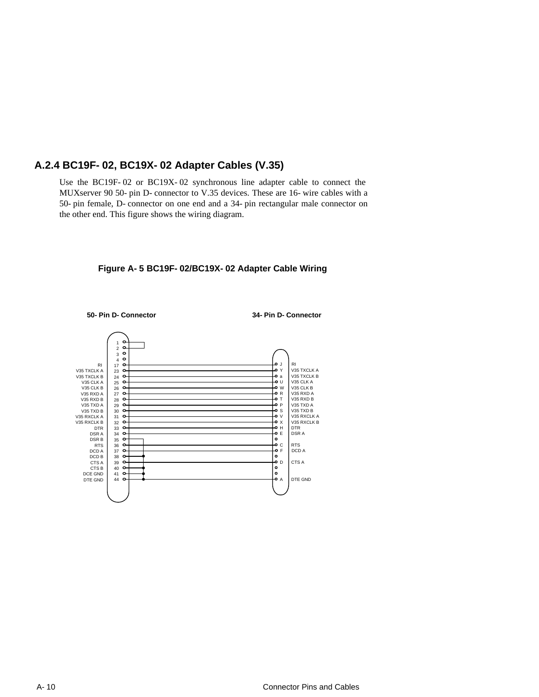## **A.2.4 BC19F-02, BC19X-02 Adapter Cables (V.35)**

Use the BC19F-02 or BC19X-02 synchronous line adapter cable to connect the MUXserver 90 50-pin D-connector to V.35 devices. These are 16-wire cables with a 50-pin female, D-connector on one end and a 34-pin rectangular male connector on the other end. This figure shows the wiring diagram.



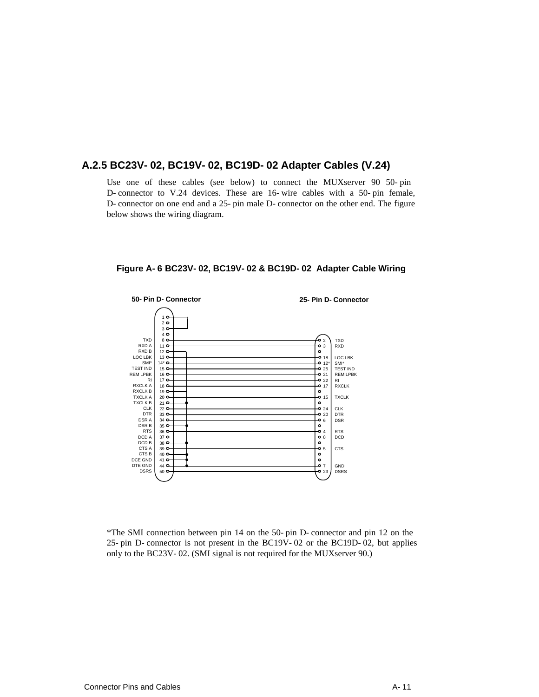### **A.2.5 BC23V-02, BC19V-02, BC19D-02 Adapter Cables (V.24)**

Use one of these cables (see below) to connect the MUXserver 90 50-pin D-connector to V.24 devices. These are 16-wire cables with a 50-pin female, D-connector on one end and a 25-pin male D-connector on the other end. The figure below shows the wiring diagram.



**Figure A-6 BC23V-02, BC19V-02 & BC19D-02 Adapter Cable Wiring**

\*The SMI connection between pin 14 on the 50-pin D-connector and pin 12 on the 25-pin D-connector is not present in the BC19V-02 or the BC19D-02, but applies only to the BC23V-02. (SMI signal is not required for the MUXserver 90.)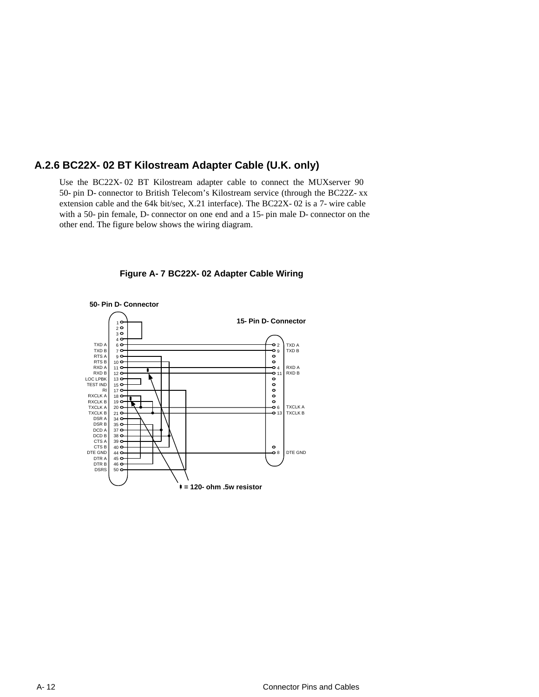## **A.2.6 BC22X-02 BT Kilostream Adapter Cable (U.K. only)**

Use the BC22X-02 BT Kilostream adapter cable to connect the MUXserver 90 50-pin D-connector to British Telecom's Kilostream service (through the BC22Z-xx extension cable and the 64k bit/sec, X.21 interface). The BC22X-02 is a 7-wire cable with a 50-pin female, D-connector on one end and a 15-pin male D-connector on the other end. The figure below shows the wiring diagram.



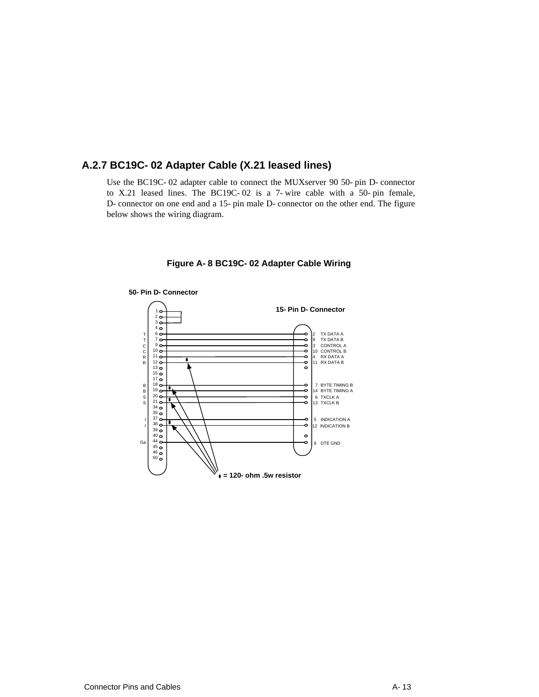## **A.2.7 BC19C-02 Adapter Cable (X.21 leased lines)**

Use the BC19C-02 adapter cable to connect the MUXserver 90 50-pin D-connector to X.21 leased lines. The BC19C-02 is a 7-wire cable with a 50-pin female, D-connector on one end and a 15-pin male D-connector on the other end. The figure below shows the wiring diagram.



**Figure A-8 BC19C-02 Adapter Cable Wiring**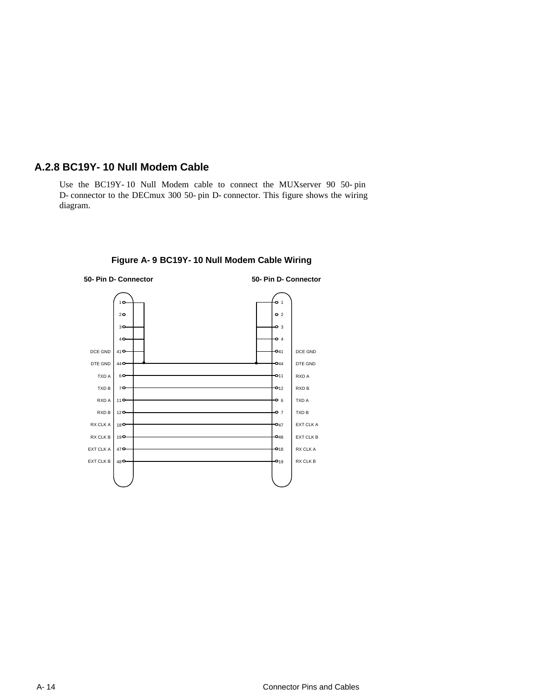### **A.2.8 BC19Y-10 Null Modem Cable**

Use the BC19Y-10 Null Modem cable to connect the MUXserver 90 50-pin D-connector to the DECmux 300 50-pin D-connector. This figure shows the wiring diagram.



**Figure A-9 BC19Y-10 Null Modem Cable Wiring**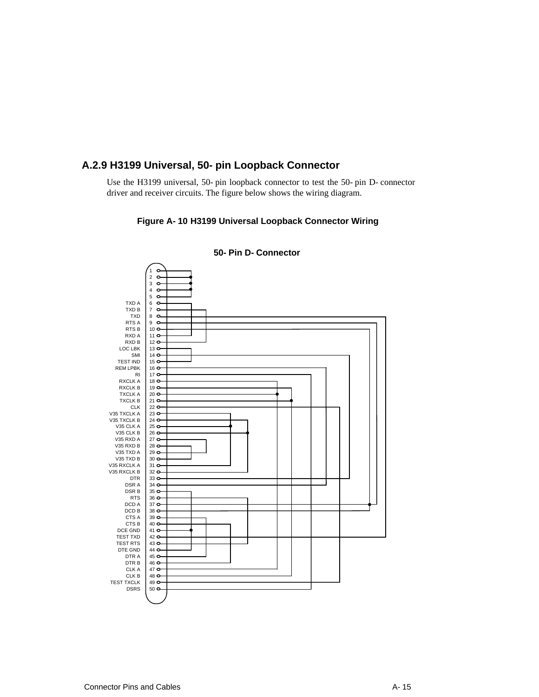## **A.2.9 H3199 Universal, 50-pin Loopback Connector**

Use the H3199 universal, 50-pin loopback connector to test the 50-pin D-connector driver and receiver circuits. The figure below shows the wiring diagram.

#### **Figure A-10 H3199 Universal Loopback Connector Wiring**



**50-Pin D-Connector**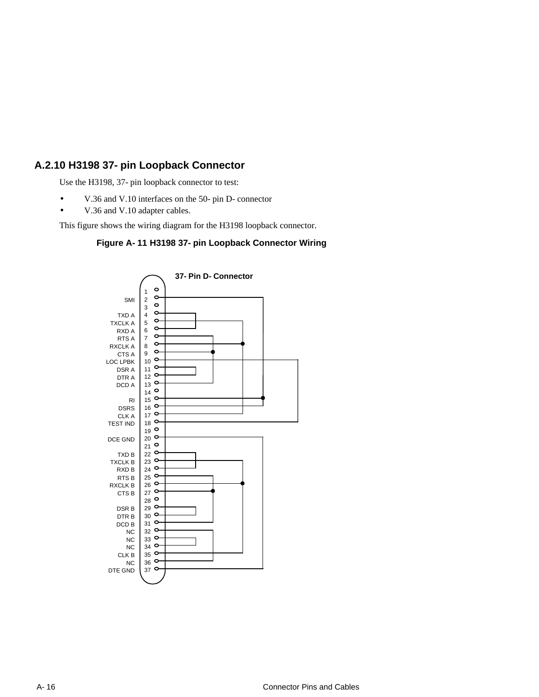# **A.2.10 H3198 37-pin Loopback Connector**

Use the H3198, 37-pin loopback connector to test:

- V.36 and V.10 interfaces on the 50-pin D-connector
- V.36 and V.10 adapter cables.

This figure shows the wiring diagram for the H3198 loopback connector.

#### **Figure A-11 H3198 37-pin Loopback Connector Wiring**

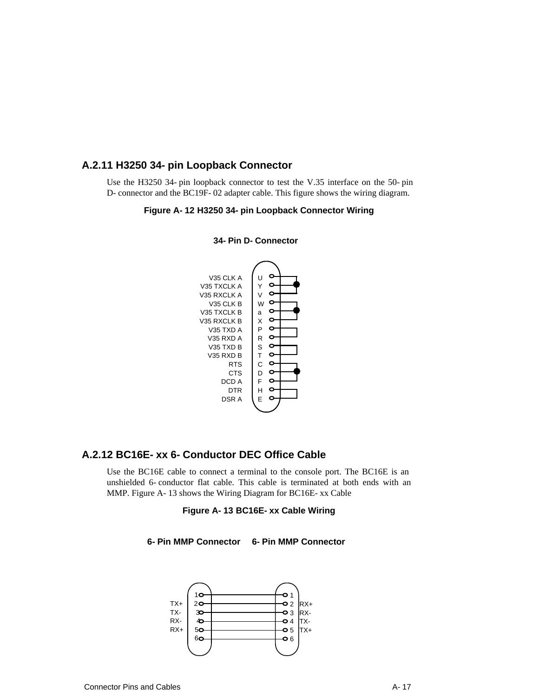### **A.2.11 H3250 34-pin Loopback Connector**

Use the H3250 34-pin loopback connector to test the V.35 interface on the 50-pin D-connector and the BC19F-02 adapter cable. This figure shows the wiring diagram.

#### **Figure A-12 H3250 34-pin Loopback Connector Wiring**



**34-Pin D-Connector**

### **A.2.12 BC16E-xx 6-Conductor DEC Office Cable**

Use the BC16E cable to connect a terminal to the console port. The BC16E is an unshielded 6-conductor flat cable. This cable is terminated at both ends with an MMP. Figure A-13 shows the Wiring Diagram for BC16E-xx Cable

#### **Figure A-13 BC16E-xx Cable Wiring**



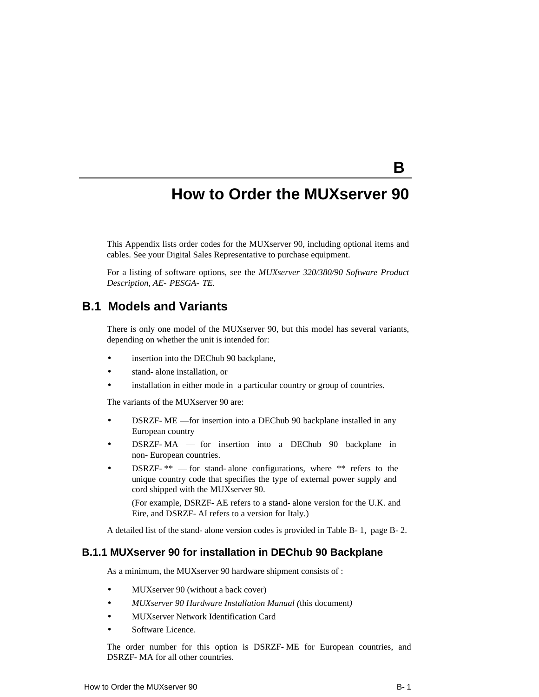# **How to Order the MUXserver 90**

This Appendix lists order codes for the MUXserver 90, including optional items and cables. See your Digital Sales Representative to purchase equipment.

For a listing of software options, see the *MUXserver 320/380/90 Software Product Description, AE-PESGA-TE.* 

# **B.1 Models and Variants**

There is only one model of the MUXserver 90, but this model has several variants, depending on whether the unit is intended for:

- insertion into the DEChub 90 backplane,
- stand-alone installation, or
- installation in either mode in a particular country or group of countries.

The variants of the MUXserver 90 are:

- DSRZF-ME for insertion into a DEChub 90 backplane installed in any European country
- DSRZF-MA for insertion into a DEChub 90 backplane in non-European countries.
- DSRZF- $**$  for stand-alone configurations, where  $**$  refers to the unique country code that specifies the type of external power supply and cord shipped with the MUXserver 90.

(For example, DSRZF-AE refers to a stand-alone version for the U.K. and Eire, and DSRZF-AI refers to a version for Italy.)

A detailed list of the stand-alone version codes is provided in Table B-1, page B-2.

#### **B.1.1 MUXserver 90 for installation in DEChub 90 Backplane**

As a minimum, the MUXserver 90 hardware shipment consists of :

- MUXserver 90 (without a back cover)
- *MUXserver 90 Hardware Installation Manual (*this document*)*
- MUXserver Network Identification Card
- Software Licence.

The order number for this option is DSRZF-ME for European countries, and DSRZF-MA for all other countries.

**B**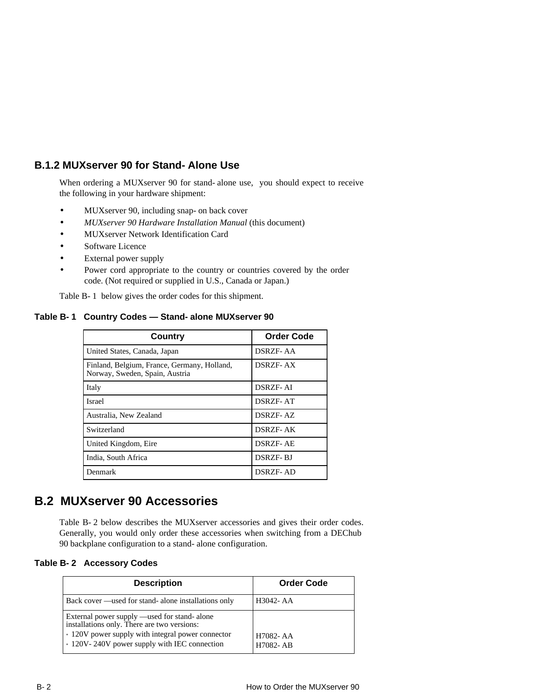# **B.1.2 MUXserver 90 for Stand-Alone Use**

When ordering a MUXserver 90 for stand-alone use, you should expect to receive the following in your hardware shipment:

- MUXserver 90, including snap- on back cover
- *MUXserver 90 Hardware Installation Manual* (this document)
- MUXserver Network Identification Card
- Software Licence
- External power supply
- Power cord appropriate to the country or countries covered by the order code. (Not required or supplied in U.S., Canada or Japan.)

Table B-1 below gives the order codes for this shipment.

#### **Table B-1 Country Codes — Stand-alone MUXserver 90**

| Country                                                                       | <b>Order Code</b> |
|-------------------------------------------------------------------------------|-------------------|
| United States, Canada, Japan                                                  | DSRZF- AA         |
| Finland, Belgium, France, Germany, Holland,<br>Norway, Sweden, Spain, Austria | <b>DSRZF-AX</b>   |
| Italy                                                                         | DSRZF- AI         |
| Israel                                                                        | <b>DSRZF-AT</b>   |
| Australia, New Zealand                                                        | DSRZF-AZ          |
| Switzerland                                                                   | DSRZF- AK         |
| United Kingdom, Eire                                                          | <b>DSRZF-AE</b>   |
| India, South Africa                                                           | <b>DSRZF-BJ</b>   |
| Denmark                                                                       | DSRZF- AD         |

# **B.2 MUXserver 90 Accessories**

Table B-2 below describes the MUXserver accessories and gives their order codes. Generally, you would only order these accessories when switching from a DEChub 90 backplane configuration to a stand-alone configuration.

#### **Table B-2 Accessory Codes**

| <b>Description</b>                                                                                                                                                                               | <b>Order Code</b>     |
|--------------------------------------------------------------------------------------------------------------------------------------------------------------------------------------------------|-----------------------|
| Back cover —used for stand- alone installations only                                                                                                                                             | H <sub>3042</sub> -AA |
| External power supply —used for stand- alone<br>installations only. There are two versions:<br>* 120V power supply with integral power connector<br>* 120V-240V power supply with IEC connection | H7082-AA<br>H7082-AB  |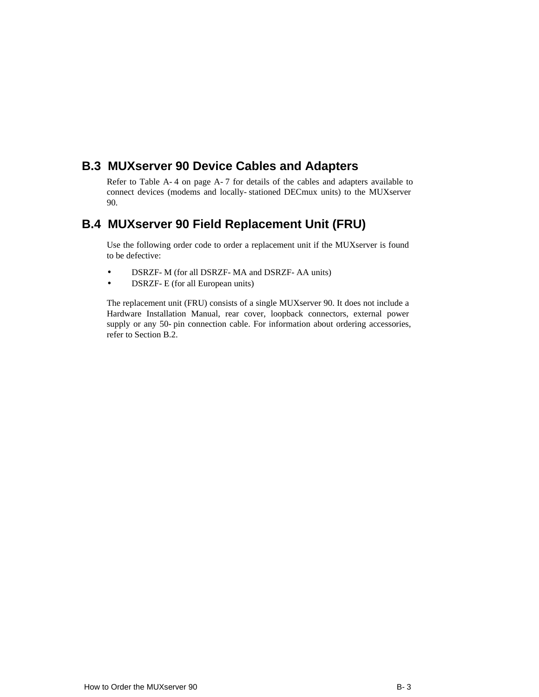# **B.3 MUXserver 90 Device Cables and Adapters**

Refer to Table A-4 on page A-7 for details of the cables and adapters available to connect devices (modems and locally-stationed DECmux units) to the MUXserver 90.

# **B.4 MUXserver 90 Field Replacement Unit (FRU)**

Use the following order code to order a replacement unit if the MUXserver is found to be defective:

- DSRZF-M (for all DSRZF-MA and DSRZF-AA units)
- DSRZF-E (for all European units)

The replacement unit (FRU) consists of a single MUXserver 90. It does not include a Hardware Installation Manual, rear cover, loopback connectors, external power supply or any 50-pin connection cable. For information about ordering accessories, refer to Section B.2.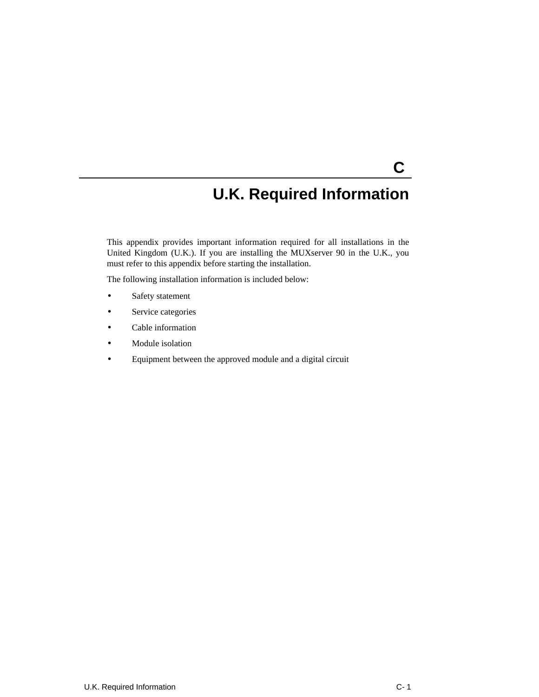# **U.K. Required Information**

**C** 

This appendix provides important information required for all installations in the United Kingdom (U.K.). If you are installing the MUXserver 90 in the U.K., you must refer to this appendix before starting the installation.

The following installation information is included below:

- Safety statement
- Service categories
- Cable information
- Module isolation
- Equipment between the approved module and a digital circuit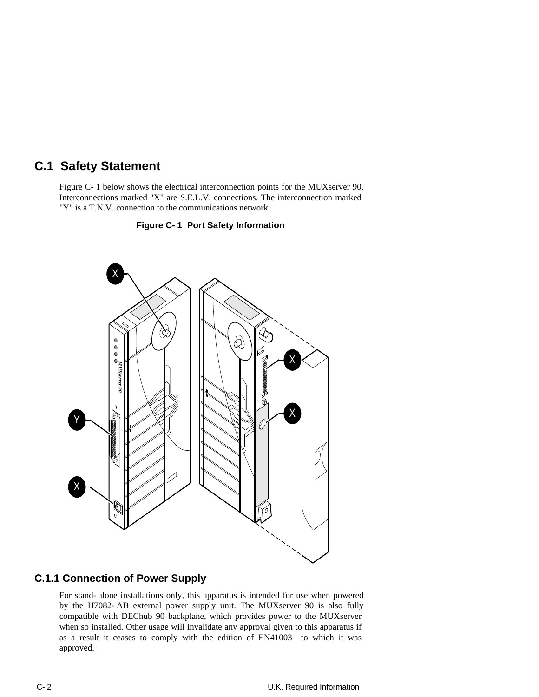# **C.1 Safety Statement**

Figure C-1 below shows the electrical interconnection points for the MUXserver 90. Interconnections marked "X" are S.E.L.V. connections. The interconnection marked "Y" is a T.N.V. connection to the communications network.





### **C.1.1 Connection of Power Supply**

For stand-alone installations only, this apparatus is intended for use when powered by the H7082-AB external power supply unit. The MUXserver 90 is also fully compatible with DEChub 90 backplane, which provides power to the MUXserver when so installed. Other usage will invalidate any approval given to this apparatus if as a result it ceases to comply with the edition of EN41003 to which it was approved.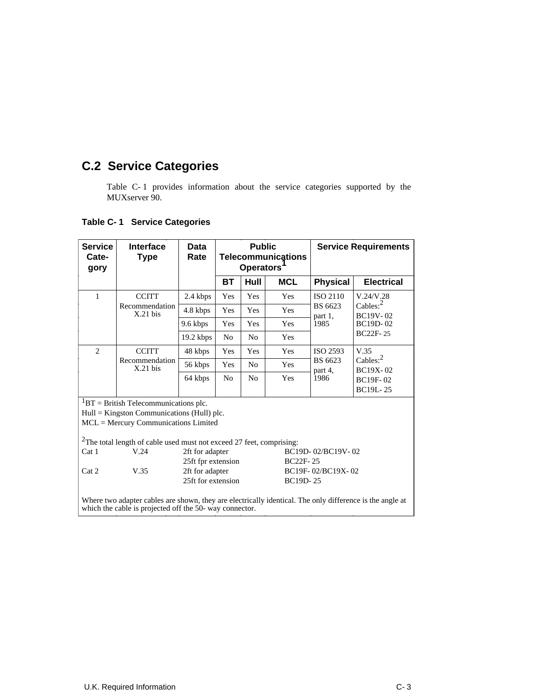# **C.2 Service Categories**

Table C-1 provides information about the service categories supported by the MUXserver 90.

| <b>Service</b><br>Cate-<br>gory                                                                                                                                                                                 | Interface<br><b>Type</b>     | Data<br>Rate                                                                   | <b>Public</b><br><b>Telecommunications</b><br><b>Operators</b> |                   |                   | <b>Service Requirements</b> |                                                                                   |
|-----------------------------------------------------------------------------------------------------------------------------------------------------------------------------------------------------------------|------------------------------|--------------------------------------------------------------------------------|----------------------------------------------------------------|-------------------|-------------------|-----------------------------|-----------------------------------------------------------------------------------|
|                                                                                                                                                                                                                 |                              |                                                                                | <b>BT</b>                                                      | Hull              | <b>MCL</b>        | <b>Physical</b>             | <b>Electrical</b>                                                                 |
| $\mathbf{1}$                                                                                                                                                                                                    | <b>CCITT</b>                 | 2.4 kbps                                                                       | Yes                                                            | Yes               | Yes               | <b>ISO 2110</b>             | V.24/V.28<br>Cables: $2$<br><b>BC19V-02</b><br><b>BC19D-02</b><br><b>BC22F-25</b> |
|                                                                                                                                                                                                                 | Recommendation<br>$X.21$ bis | 4.8 kbps                                                                       | Yes                                                            | Yes               | Yes               | BS 6623<br>part 1,          |                                                                                   |
|                                                                                                                                                                                                                 |                              | 9.6 kbps                                                                       | Yes                                                            | Yes               | <b>Yes</b>        | 1985                        |                                                                                   |
|                                                                                                                                                                                                                 |                              | $19.2$ kbps                                                                    | N <sub>0</sub>                                                 | N <sub>0</sub>    | Yes               |                             |                                                                                   |
| 2                                                                                                                                                                                                               | <b>CCITT</b>                 | 48 kbps                                                                        | Yes                                                            | Yes               | Yes               | ISO 2593                    | V.35<br>Cables: $2$<br><b>BC19X-02</b><br><b>BC19F-02</b><br><b>BC19L-25</b>      |
|                                                                                                                                                                                                                 | Recommendation<br>$X.21$ bis | 56 kbps                                                                        | Yes                                                            | N <sub>0</sub>    | Yes               | BS 6623<br>part 4,          |                                                                                   |
|                                                                                                                                                                                                                 |                              | 64 kbps                                                                        | N <sub>0</sub>                                                 | N <sub>0</sub>    | Yes               | 1986                        |                                                                                   |
| ${}^{1}BT =$ British Telecommunications plc.<br>$Hull =$ Kingston Communications (Hull) plc.<br>MCL = Mercury Communications Limited<br>$2$ The total length of cable used must not exceed 27 feet, comprising: |                              |                                                                                |                                                                |                   |                   |                             |                                                                                   |
| Cat <sub>1</sub>                                                                                                                                                                                                | V.24                         | 2ft for adapter                                                                |                                                                | <b>BC22F-25</b>   | BC19D-02/BC19V-02 |                             |                                                                                   |
| Cat 2                                                                                                                                                                                                           | V.35                         | 25ft fpr extension<br>2ft for adapter<br>25ft for extension<br><b>BC19D-25</b> |                                                                | BC19F-02/BC19X-02 |                   |                             |                                                                                   |
| Where two adapter cables are shown, they are electrically identical. The only difference is the angle at<br>which the cable is projected off the 50- way connector.                                             |                              |                                                                                |                                                                |                   |                   |                             |                                                                                   |

### **Table C-1 Service Categories**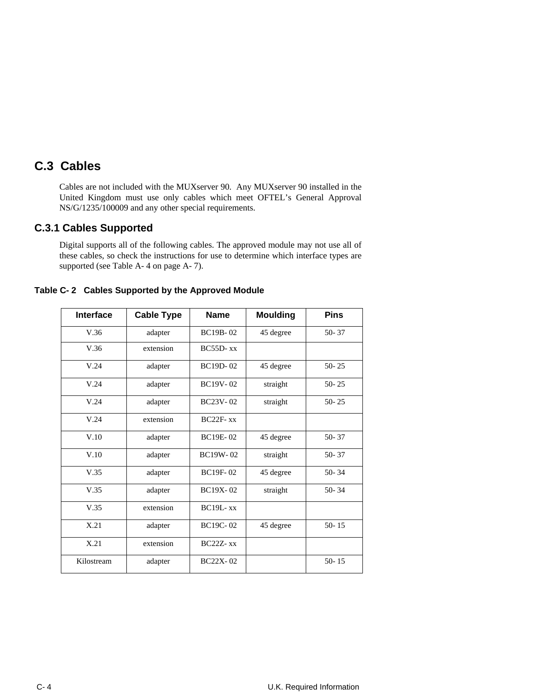# **C.3 Cables**

Cables are not included with the MUXserver 90. Any MUXserver 90 installed in the United Kingdom must use only cables which meet OFTEL's General Approval NS/G/1235/100009 and any other special requirements.

## **C.3.1 Cables Supported**

Digital supports all of the following cables. The approved module may not use all of these cables, so check the instructions for use to determine which interface types are supported (see Table A-4 on page A-7).

|  | Table C-2 Cables Supported by the Approved Module |
|--|---------------------------------------------------|
|--|---------------------------------------------------|

| <b>Interface</b> | <b>Cable Type</b> | <b>Name</b>     | <b>Moulding</b> | <b>Pins</b> |
|------------------|-------------------|-----------------|-----------------|-------------|
| V.36             | adapter           | <b>BC19B-02</b> | 45 degree       | 50-37       |
| V.36             | extension         | $BC55D-xx$      |                 |             |
| V.24             | adapter           | <b>BC19D-02</b> | 45 degree       | $50 - 25$   |
| V.24             | adapter           | BC19V-02        | straight        | $50 - 25$   |
| V.24             | adapter           | <b>BC23V-02</b> | straight        | $50 - 25$   |
| V.24             | extension         | $BC22F - xx$    |                 |             |
| V.10             | adapter           | <b>BC19E-02</b> | 45 degree       | $50 - 37$   |
| V.10             | adapter           | BC19W-02        | straight        | 50-37       |
| V.35             | adapter           | <b>BC19F-02</b> | 45 degree       | $50 - 34$   |
| V.35             | adapter           | <b>BC19X-02</b> | straight        | $50 - 34$   |
| V.35             | extension         | $BC19L-xx$      |                 |             |
| X.21             | adapter           | <b>BC19C-02</b> | 45 degree       | $50 - 15$   |
| X.21             | extension         | $BC22Z-xx$      |                 |             |
| Kilostream       | adapter           | <b>BC22X-02</b> |                 | $50 - 15$   |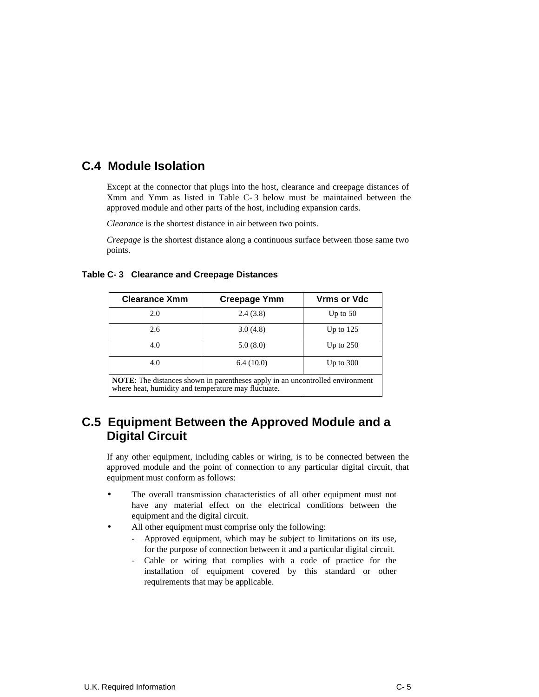# **C.4 Module Isolation**

Except at the connector that plugs into the host, clearance and creepage distances of Xmm and Ymm as listed in Table C-3 below must be maintained between the approved module and other parts of the host, including expansion cards.

*Clearance* is the shortest distance in air between two points.

*Creepage* is the shortest distance along a continuous surface between those same two points.

#### **Table C-3 Clearance and Creepage Distances**

| <b>Clearance Xmm</b>                                                          | <b>Creepage Ymm</b> | <b>Vrms or Vdc</b> |  |
|-------------------------------------------------------------------------------|---------------------|--------------------|--|
| 2.0                                                                           | 2.4(3.8)            | Up to $50$         |  |
| 2.6                                                                           | 3.0(4.8)            | Up to $125$        |  |
| 4.0                                                                           | 5.0(8.0)            | Up to $250$        |  |
| 4.0                                                                           | 6.4(10.0)           | Up to $300$        |  |
| NOTE: The distances shown in parentheses apply in an uncontrolled environment |                     |                    |  |

where heat, humidity and temperature may fluctuate.

# **C.5 Equipment Between the Approved Module and a Digital Circuit**

If any other equipment, including cables or wiring, is to be connected between the approved module and the point of connection to any particular digital circuit, that equipment must conform as follows:

- The overall transmission characteristics of all other equipment must not have any material effect on the electrical conditions between the equipment and the digital circuit.
- All other equipment must comprise only the following:
	- Approved equipment, which may be subject to limitations on its use, for the purpose of connection between it and a particular digital circuit.
	- Cable or wiring that complies with a code of practice for the installation of equipment covered by this standard or other requirements that may be applicable.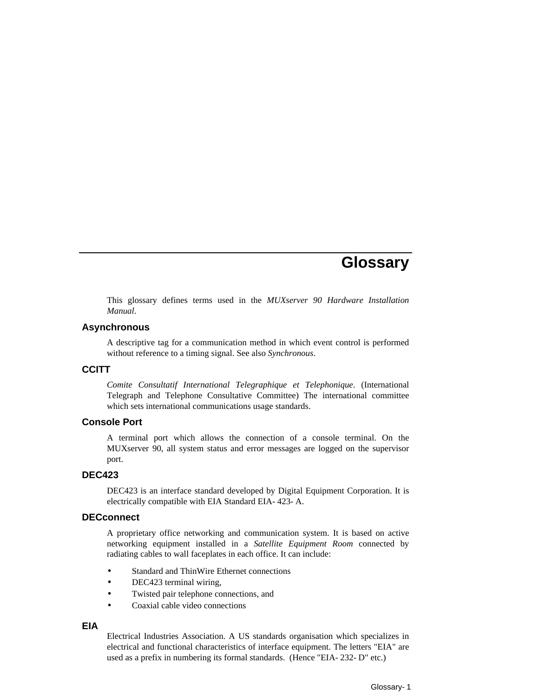# **Glossary**

This glossary defines terms used in the *MUXserver 90 Hardware Installation Manual*.

#### **Asynchronous**

A descriptive tag for a communication method in which event control is performed without reference to a timing signal. See also *Synchronous*.

#### **CCITT**

*Comite Consultatif International Telegraphique et Telephonique*. (International Telegraph and Telephone Consultative Committee) The international committee which sets international communications usage standards.

#### **Console Port**

A terminal port which allows the connection of a console terminal. On the MUXserver 90, all system status and error messages are logged on the supervisor port.

#### **DEC423**

DEC423 is an interface standard developed by Digital Equipment Corporation. It is electrically compatible with EIA Standard EIA-423-A.

#### **DECconnect**

A proprietary office networking and communication system. It is based on active networking equipment installed in a *Satellite Equipment Room* connected by radiating cables to wall faceplates in each office. It can include:

- Standard and ThinWire Ethernet connections
- DEC423 terminal wiring,
- Twisted pair telephone connections, and
- Coaxial cable video connections

#### **EIA**

Electrical Industries Association. A US standards organisation which specializes in electrical and functional characteristics of interface equipment. The letters "EIA" are used as a prefix in numbering its formal standards. (Hence "EIA-232-D" etc.)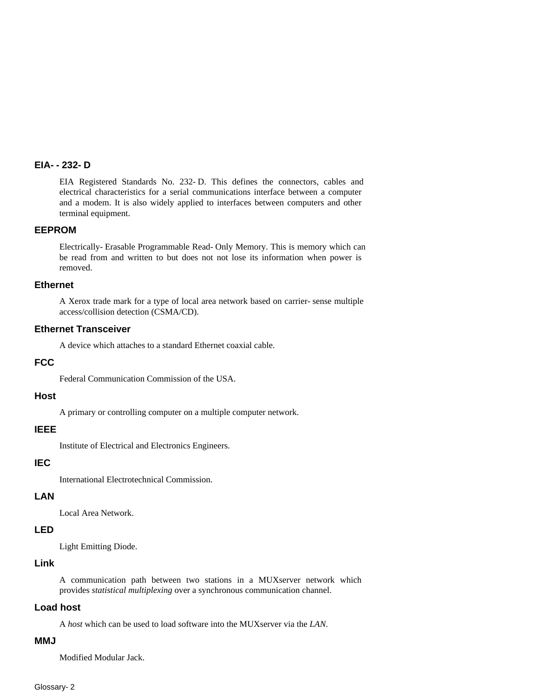#### **EIA--232-D**

EIA Registered Standards No. 232-D. This defines the connectors, cables and electrical characteristics for a serial communications interface between a computer and a modem. It is also widely applied to interfaces between computers and other terminal equipment.

#### **EEPROM**

Electrically-Erasable Programmable Read-Only Memory. This is memory which can be read from and written to but does not not lose its information when power is removed.

#### **Ethernet**

A Xerox trade mark for a type of local area network based on carrier-sense multiple access/collision detection (CSMA/CD).

#### **Ethernet Transceiver**

A device which attaches to a standard Ethernet coaxial cable.

#### **FCC**

Federal Communication Commission of the USA.

#### **Host**

A primary or controlling computer on a multiple computer network.

#### **IEEE**

Institute of Electrical and Electronics Engineers.

#### **IEC**

International Electrotechnical Commission.

#### **LAN**

Local Area Network.

#### **LED**

Light Emitting Diode.

#### **Link**

A communication path between two stations in a MUXserver network which provides *statistical multiplexing* over a synchronous communication channel.

#### **Load host**

A *host* which can be used to load software into the MUXserver via the *LAN*.

#### **MMJ**

Modified Modular Jack.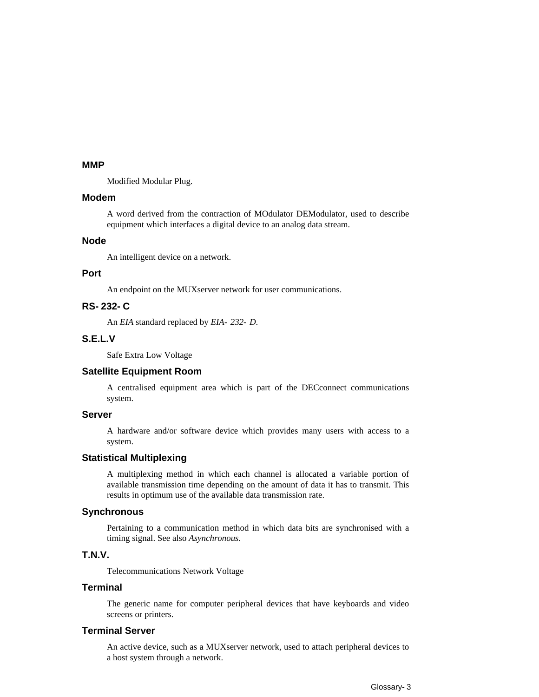#### **MMP**

Modified Modular Plug.

#### **Modem**

A word derived from the contraction of MOdulator DEModulator, used to describe equipment which interfaces a digital device to an analog data stream.

#### **Node**

An intelligent device on a network.

#### **Port**

An endpoint on the MUXserver network for user communications.

### **RS-232-C**

An *EIA* standard replaced by *EIA-232-D*.

#### **S.E.L.V**

Safe Extra Low Voltage

#### **Satellite Equipment Room**

A centralised equipment area which is part of the DECconnect communications system.

#### **Server**

A hardware and/or software device which provides many users with access to a system.

#### **Statistical Multiplexing**

A multiplexing method in which each channel is allocated a variable portion of available transmission time depending on the amount of data it has to transmit. This results in optimum use of the available data transmission rate.

#### **Synchronous**

Pertaining to a communication method in which data bits are synchronised with a timing signal. See also *Asynchronous*.

#### **T.N.V.**

Telecommunications Network Voltage

#### **Terminal**

The generic name for computer peripheral devices that have keyboards and video screens or printers.

#### **Terminal Server**

An active device, such as a MUXserver network, used to attach peripheral devices to a host system through a network.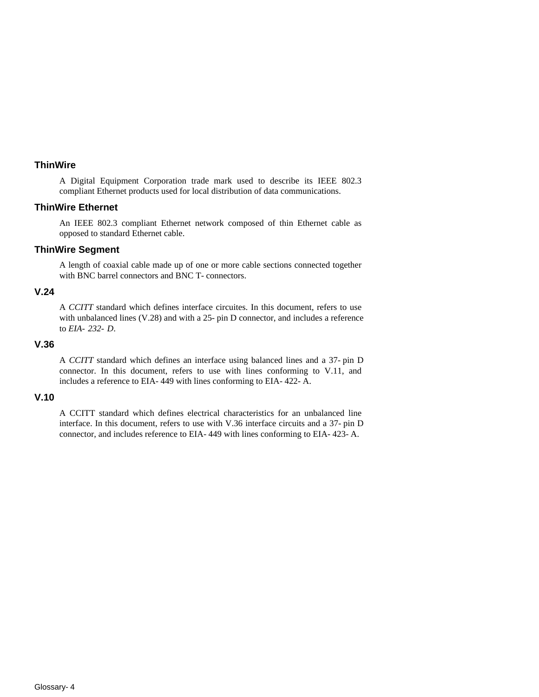#### **ThinWire**

A Digital Equipment Corporation trade mark used to describe its IEEE 802.3 compliant Ethernet products used for local distribution of data communications.

#### **ThinWire Ethernet**

An IEEE 802.3 compliant Ethernet network composed of thin Ethernet cable as opposed to standard Ethernet cable.

#### **ThinWire Segment**

A length of coaxial cable made up of one or more cable sections connected together with BNC barrel connectors and BNC T-connectors.

#### **V.24**

A *CCITT* standard which defines interface circuites. In this document, refers to use with unbalanced lines  $(V.28)$  and with a 25-pin D connector, and includes a reference to *EIA-232-D*.

#### **V.36**

A *CCITT* standard which defines an interface using balanced lines and a 37-pin D connector. In this document, refers to use with lines conforming to V.11, and includes a reference to EIA-449 with lines conforming to EIA-422-A.

#### **V.10**

A CCITT standard which defines electrical characteristics for an unbalanced line interface. In this document, refers to use with V.36 interface circuits and a 37-pin D connector, and includes reference to EIA-449 with lines conforming to EIA-423-A.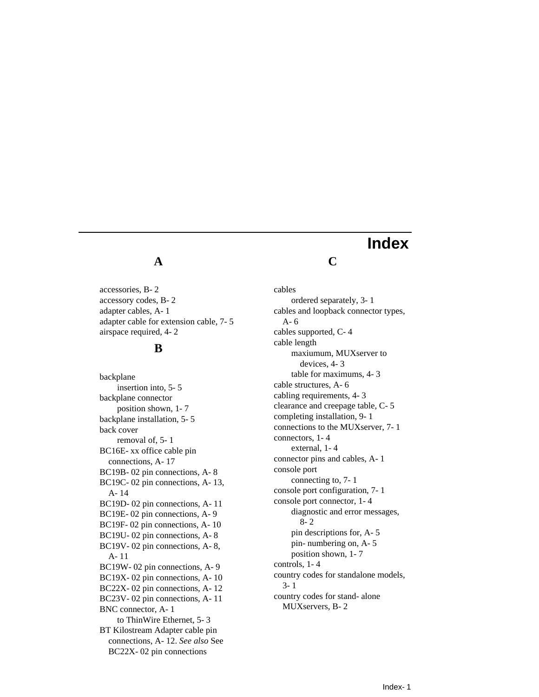# **A**

accessories, B-2 accessory codes, B-2 adapter cables, A-1 adapter cable for extension cable, 7-5 airspace required, 4-2

## **B**

backplane insertion into, 5-5 backplane connector position shown, 1-7 backplane installation, 5-5 back cover removal of, 5-1 BC16E-xx office cable pin connections, A-17 BC19B-02 pin connections, A-8 BC19C-02 pin connections, A-13, A-14 BC19D-02 pin connections, A-11 BC19E-02 pin connections, A-9 BC19F-02 pin connections, A-10 BC19U-02 pin connections, A-8 BC19V-02 pin connections, A-8, A-11 BC19W-02 pin connections, A-9 BC19X-02 pin connections, A-10 BC22X-02 pin connections, A-12 BC23V-02 pin connections, A-11 BNC connector, A-1 to ThinWire Ethernet, 5-3 BT Kilostream Adapter cable pin connections, A-12. *See also* See BC22X-02 pin connections

# **Index**

**C**

cables ordered separately, 3-1 cables and loopback connector types, A-6 cables supported, C-4 cable length maxiumum, MUXserver to devices, 4-3 table for maximums, 4-3 cable structures, A-6 cabling requirements, 4-3 clearance and creepage table, C-5 completing installation, 9-1 connections to the MUXserver, 7-1 connectors, 1-4 external, 1-4 connector pins and cables, A-1 console port connecting to, 7-1 console port configuration, 7-1 console port connector, 1-4 diagnostic and error messages, 8-2 pin descriptions for, A-5 pin-numbering on, A-5 position shown, 1-7 controls, 1-4 country codes for standalone models, 3-1 country codes for stand-alone MUXservers, B-2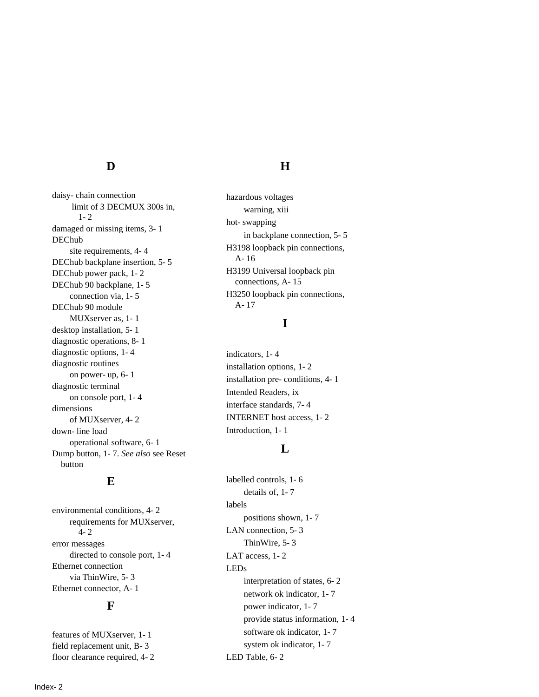# **D**

daisy-chain connection limit of 3 DECMUX 300s in, 1-2 damaged or missing items, 3-1 DEChub site requirements, 4-4 DEChub backplane insertion, 5-5 DEChub power pack, 1-2 DEChub 90 backplane, 1-5 connection via, 1-5 DEChub 90 module MUXserver as, 1-1 desktop installation, 5-1 diagnostic operations, 8-1 diagnostic options, 1-4 diagnostic routines on power-up, 6-1 diagnostic terminal on console port, 1-4 dimensions of MUXserver, 4-2 down-line load operational software, 6-1 Dump button, 1-7. *See also* see Reset button

### **E**

environmental conditions, 4-2 requirements for MUXserver, 4-2 error messages directed to console port, 1-4 Ethernet connection via ThinWire, 5-3 Ethernet connector, A-1

#### **F**

features of MUXserver, 1-1 field replacement unit, B-3 floor clearance required, 4-2

# **H**

hazardous voltages warning, xiii hot-swapping in backplane connection, 5-5 H3198 loopback pin connections, A-16 H3199 Universal loopback pin connections, A-15 H3250 loopback pin connections, A-17

# **I**

indicators, 1-4 installation options, 1-2 installation pre-conditions, 4-1 Intended Readers, ix interface standards, 7-4 INTERNET host access, 1-2 Introduction, 1-1

# **L**

labelled controls, 1-6 details of, 1-7 labels positions shown, 1-7 LAN connection, 5-3 ThinWire, 5-3 LAT access, 1-2 LEDs interpretation of states, 6-2 network ok indicator, 1-7 power indicator, 1-7 provide status information, 1-4 software ok indicator, 1-7 system ok indicator, 1-7 LED Table, 6-2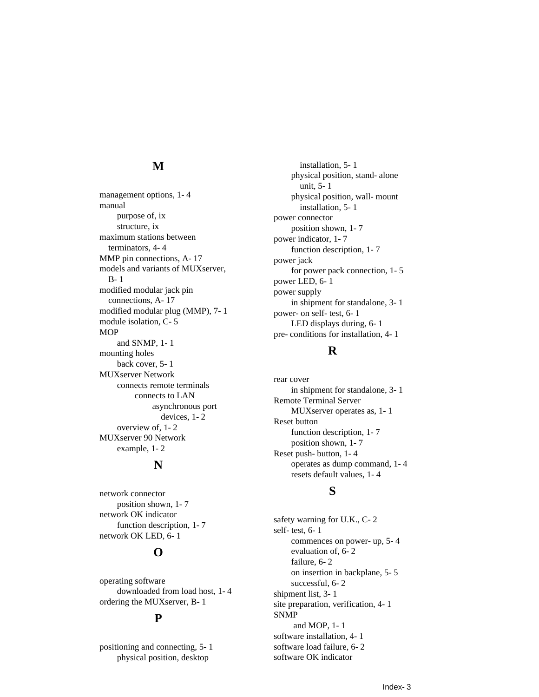### **M**

management options, 1-4 manual purpose of, ix structure, ix maximum stations between terminators, 4-4 MMP pin connections, A-17 models and variants of MUXserver, B-1 modified modular jack pin connections, A-17 modified modular plug (MMP), 7-1 module isolation, C-5 MOP and SNMP, 1-1 mounting holes back cover, 5-1 MUXserver Network connects remote terminals connects to LAN asynchronous port devices, 1-2 overview of, 1-2 MUXserver 90 Network example, 1-2

#### **N**

network connector position shown, 1-7 network OK indicator function description, 1-7 network OK LED, 6-1

# **O**

operating software downloaded from load host, 1-4 ordering the MUXserver, B-1

### **P**

positioning and connecting, 5-1 physical position, desktop

installation, 5-1 physical position, stand-alone unit, 5-1 physical position, wall-mount installation, 5-1 power connector position shown, 1-7 power indicator, 1-7 function description, 1-7 power jack for power pack connection, 1-5 power LED, 6-1 power supply in shipment for standalone, 3-1 power-on self-test, 6-1 LED displays during, 6-1 pre-conditions for installation, 4-1

#### **R**

rear cover in shipment for standalone, 3-1 Remote Terminal Server MUXserver operates as, 1-1 Reset button function description, 1-7 position shown, 1-7 Reset push-button, 1-4 operates as dump command, 1-4 resets default values, 1-4

### **S**

safety warning for U.K., C-2 self-test, 6-1 commences on power-up, 5-4 evaluation of, 6-2 failure, 6-2 on insertion in backplane, 5-5 successful, 6-2 shipment list, 3-1 site preparation, verification, 4-1 SNMP and MOP, 1-1 software installation, 4-1 software load failure, 6-2 software OK indicator